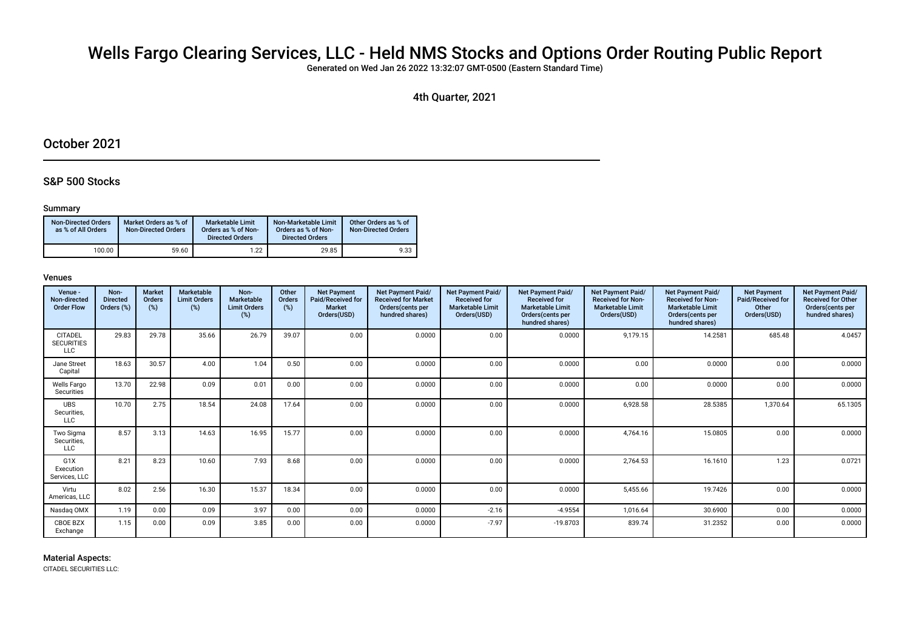# Wells Fargo Clearing Services, LLC - Held NMS Stocks and Options Order Routing Public Report

Generated on Wed Jan 26 2022 13:32:07 GMT-0500 (Eastern Standard Time)

4th Quarter, 2021

# October 2021

# S&P 500 Stocks

# Summary

| <b>Non-Directed Orders</b><br>as % of All Orders | Market Orders as % of<br><b>Non-Directed Orders</b> | Marketable Limit<br>Orders as % of Non-<br><b>Directed Orders</b> | Non-Marketable Limit<br>Orders as % of Non-<br><b>Directed Orders</b> | Other Orders as % of<br><b>Non-Directed Orders</b> |
|--------------------------------------------------|-----------------------------------------------------|-------------------------------------------------------------------|-----------------------------------------------------------------------|----------------------------------------------------|
| 100.00                                           | 59.60                                               | 1.22                                                              | 29.85                                                                 | 9.33                                               |

# Venues

| Venue -<br>Non-directed<br><b>Order Flow</b> | Non-<br><b>Directed</b><br>Orders (%) | <b>Market</b><br>Orders<br>(%) | <b>Marketable</b><br><b>Limit Orders</b><br>(%) | Non-<br>Marketable<br><b>Limit Orders</b><br>(%) | Other<br>Orders<br>(%) | <b>Net Payment</b><br>Paid/Received for<br><b>Market</b><br>Orders(USD) | <b>Net Payment Paid/</b><br><b>Received for Market</b><br>Orders (cents per<br>hundred shares) | <b>Net Payment Paid/</b><br><b>Received for</b><br><b>Marketable Limit</b><br>Orders(USD) | <b>Net Payment Paid/</b><br><b>Received for</b><br><b>Marketable Limit</b><br>Orders (cents per<br>hundred shares) | <b>Net Payment Paid/</b><br><b>Received for Non-</b><br><b>Marketable Limit</b><br>Orders(USD) | <b>Net Payment Paid/</b><br><b>Received for Non-</b><br><b>Marketable Limit</b><br>Orders (cents per<br>hundred shares) | <b>Net Payment</b><br>Paid/Received for<br>Other<br>Orders(USD) | Net Payment Paid/<br><b>Received for Other</b><br>Orders(cents per<br>hundred shares) |
|----------------------------------------------|---------------------------------------|--------------------------------|-------------------------------------------------|--------------------------------------------------|------------------------|-------------------------------------------------------------------------|------------------------------------------------------------------------------------------------|-------------------------------------------------------------------------------------------|--------------------------------------------------------------------------------------------------------------------|------------------------------------------------------------------------------------------------|-------------------------------------------------------------------------------------------------------------------------|-----------------------------------------------------------------|---------------------------------------------------------------------------------------|
| <b>CITADEL</b><br><b>SECURITIES</b><br>LLC   | 29.83                                 | 29.78                          | 35.66                                           | 26.79                                            | 39.07                  | 0.00                                                                    | 0.0000                                                                                         | 0.00                                                                                      | 0.0000                                                                                                             | 9,179.15                                                                                       | 14.2581                                                                                                                 | 685.48                                                          | 4.0457                                                                                |
| Jane Street<br>Capital                       | 18.63                                 | 30.57                          | 4.00                                            | 1.04                                             | 0.50                   | 0.00                                                                    | 0.0000                                                                                         | 0.00                                                                                      | 0.0000                                                                                                             | 0.00                                                                                           | 0.0000                                                                                                                  | 0.00                                                            | 0.0000                                                                                |
| <b>Wells Fargo</b><br>Securities             | 13.70                                 | 22.98                          | 0.09                                            | 0.01                                             | 0.00                   | 0.00                                                                    | 0.0000                                                                                         | 0.00                                                                                      | 0.0000                                                                                                             | 0.00                                                                                           | 0.0000                                                                                                                  | 0.00                                                            | 0.0000                                                                                |
| <b>UBS</b><br>Securities,<br>LLC             | 10.70                                 | 2.75                           | 18.54                                           | 24.08                                            | 17.64                  | 0.00                                                                    | 0.0000                                                                                         | 0.00                                                                                      | 0.0000                                                                                                             | 6,928.58                                                                                       | 28.5385                                                                                                                 | 1,370.64                                                        | 65.1305                                                                               |
| Two Sigma<br>Securities,<br>LLC              | 8.57                                  | 3.13                           | 14.63                                           | 16.95                                            | 15.77                  | 0.00                                                                    | 0.0000                                                                                         | 0.00                                                                                      | 0.0000                                                                                                             | 4.764.16                                                                                       | 15.0805                                                                                                                 | 0.00                                                            | 0.0000                                                                                |
| G1X<br>Execution<br>Services, LLC            | 8.21                                  | 8.23                           | 10.60                                           | 7.93                                             | 8.68                   | 0.00                                                                    | 0.0000                                                                                         | 0.00                                                                                      | 0.0000                                                                                                             | 2.764.53                                                                                       | 16.1610                                                                                                                 | 1.23                                                            | 0.0721                                                                                |
| Virtu<br>Americas, LLC                       | 8.02                                  | 2.56                           | 16.30                                           | 15.37                                            | 18.34                  | 0.00                                                                    | 0.0000                                                                                         | 0.00                                                                                      | 0.0000                                                                                                             | 5.455.66                                                                                       | 19.7426                                                                                                                 | 0.00                                                            | 0.0000                                                                                |
| Nasdag OMX                                   | 1.19                                  | 0.00                           | 0.09                                            | 3.97                                             | 0.00                   | 0.00                                                                    | 0.0000                                                                                         | $-2.16$                                                                                   | $-4.9554$                                                                                                          | 1,016.64                                                                                       | 30.6900                                                                                                                 | 0.00                                                            | 0.0000                                                                                |
| CBOE BZX<br>Exchange                         | 1.15                                  | 0.00                           | 0.09                                            | 3.85                                             | 0.00                   | 0.00                                                                    | 0.0000                                                                                         | $-7.97$                                                                                   | $-19.8703$                                                                                                         | 839.74                                                                                         | 31.2352                                                                                                                 | 0.00                                                            | 0.0000                                                                                |

# Material Aspects:

CITADEL SECURITIES LLC: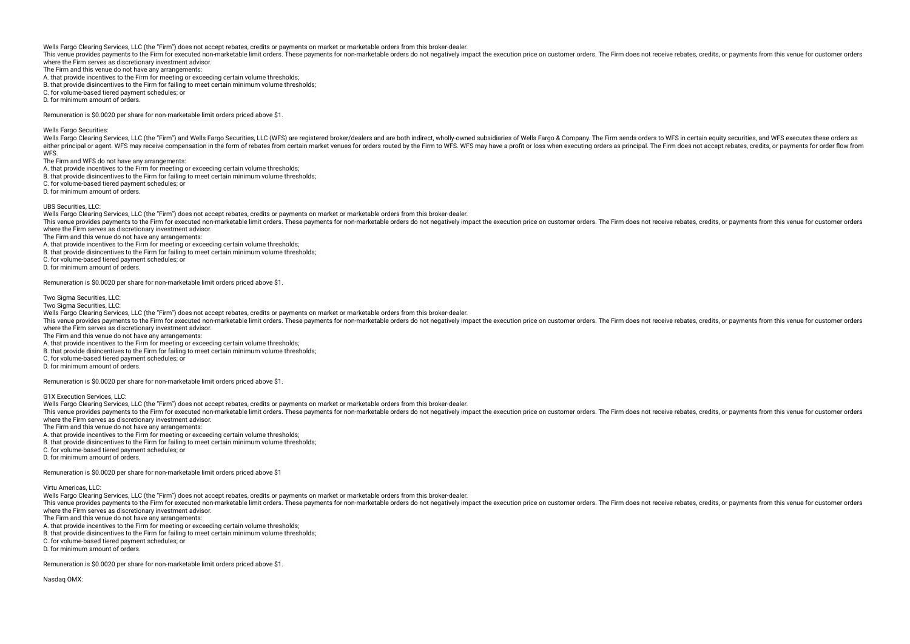This year to provides payments to the Firm for executed non-marketable limit orders. These payments for non-marketable orders do not negatively impact the execution price on customer orders. The Firm does not receive rebat where the Firm serves as discretionary investment advisor.

The Firm and this venue do not have any arrangements:

A. that provide incentives to the Firm for meeting or exceeding certain volume thresholds;

B. that provide disincentives to the Firm for failing to meet certain minimum volume thresholds;

C. for volume-based tiered payment schedules; or

D. for minimum amount of orders.

Remuneration is \$0.0020 per share for non-marketable limit orders priced above \$1.

Wells Fargo Securities:

Wells Fargo Clearing Services, LLC (the "Firm") and Wells Fargo Securities, LLC (WFS) are registered broker/dealers and are both indirect, wholly-owned subsidiaries of Wells Fargo & Company. The Firm sends orders to WFS in either principal or agent. WFS may receive compensation in the form of rebates from certain market venues for orders routed by the Firm to WFS. WFS may have a profit or loss when executing orders as principal. The Firm doe **WFS.** 

The Firm and WFS do not have any arrangements:

A. that provide incentives to the Firm for meeting or exceeding certain volume thresholds;

B. that provide disincentives to the Firm for failing to meet certain minimum volume thresholds;

C. for volume-based tiered payment schedules; or

D. for minimum amount of orders.

UBS Securities, LLC:

Wells Fargo Clearing Services, LLC (the "Firm") does not accept rebates, credits or payments on market or marketable orders from this broker-dealer.

This venue provides payments to the Firm for executed non-marketable limit orders. These payments for non-marketable orders do not peratively impact the execution price on customer orders. The Firm does not receive rebates where the Firm serves as discretionary investment advisor.

The Firm and this venue do not have any arrangements:

A. that provide incentives to the Firm for meeting or exceeding certain volume thresholds;

B. that provide disincentives to the Firm for failing to meet certain minimum volume thresholds;

C. for volume-based tiered payment schedules; or

D. for minimum amount of orders.

Remuneration is \$0.0020 per share for non-marketable limit orders priced above \$1.

Two Sigma Securities, LLC:

Two Sigma Securities, LLC:

Wells Fargo Clearing Services, LLC (the "Firm") does not accept rebates, credits or payments on market or marketable orders from this broker-dealer.

This venue provides payments to the Firm for executed non-marketable limit orders. These payments for non-marketable orders do not peratively impact the execution price on customer orders. The Firm does not receive rebates where the Firm serves as discretionary investment advisor.

The Firm and this venue do not have any arrangements:

A. that provide incentives to the Firm for meeting or exceeding certain volume thresholds;

B. that provide disincentives to the Firm for failing to meet certain minimum volume thresholds;

C. for volume-based tiered payment schedules; or

D. for minimum amount of orders.

Remuneration is \$0.0020 per share for non-marketable limit orders priced above \$1.

G1X Execution Services, LLC:

Wells Fargo Clearing Services, LLC (the "Firm") does not accept rebates, credits or payments on market or marketable orders from this broker-dealer.

This venue provides payments to the Firm for executed non-marketable limit orders. These payments for non-marketable orders do not negatively impact the execution price on customer orders. The Firm does not receive rebates where the Firm serves as discretionary investment advisor.

The Firm and this venue do not have any arrangements:

A. that provide incentives to the Firm for meeting or exceeding certain volume thresholds;

B. that provide disincentives to the Firm for failing to meet certain minimum volume thresholds;

C. for volume-based tiered payment schedules; or

D. for minimum amount of orders.

Remuneration is \$0.0020 per share for non-marketable limit orders priced above \$1

Virtu Americas, LLC:

Wells Fargo Clearing Services, LLC (the "Firm") does not accept rebates, credits or payments on market or marketable orders from this broker-dealer.

This venue provides payments to the Firm for executed non-marketable limit orders. These payments for non-marketable orders do not peratively impact the execution price on customer orders. The Firm does not receive rebates where the Firm serves as discretionary investment advisor.

The Firm and this venue do not have any arrangements:

A. that provide incentives to the Firm for meeting or exceeding certain volume thresholds;

B. that provide disincentives to the Firm for failing to meet certain minimum volume thresholds;

C. for volume-based tiered payment schedules; or

D. for minimum amount of orders.

Remuneration is \$0.0020 per share for non-marketable limit orders priced above \$1.

Nasdag OMX<sup>:</sup>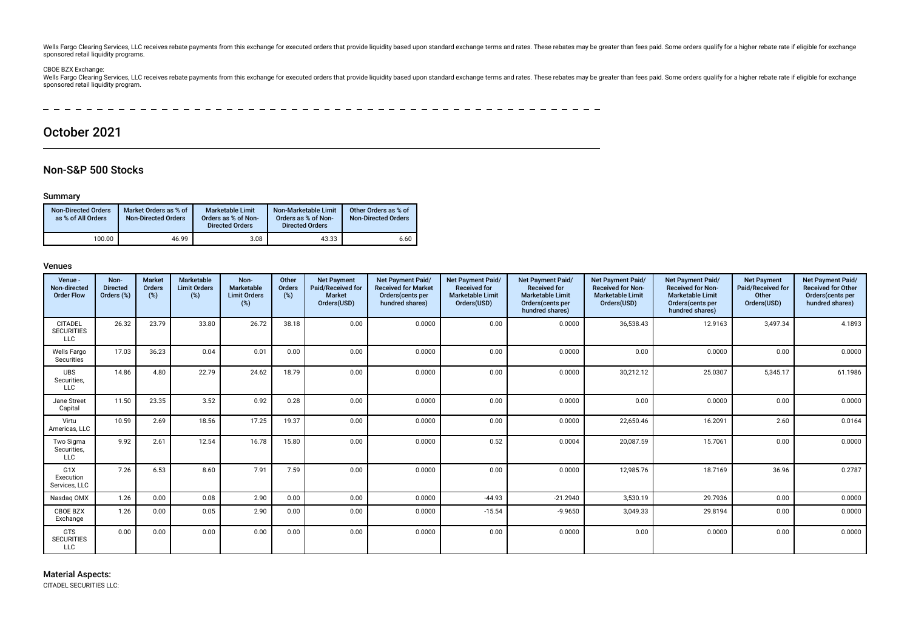Wells Fargo Clearing Services, LLC receives rebate payments from this exchange for executed orders that provide liquidity based upon standard exchange terms and rates. These rebate smay be greater than fees paid. Some orde sponsored retail liquidity programs.

CBOE BZX Exchange:<br>Wells Fargo Clearing Services, LLC receives rebate payments from this exchange for executed orders that provide liquidity based upon standard exchange terms and rates. These rebates may be greater than f sponsored retail liquidity program.

**Contract Contract** -------------

# October 2021

# Non-S&P 500 Stocks

### Summary

| <b>Non-Directed Orders</b><br>as % of All Orders | Market Orders as % of<br><b>Non-Directed Orders</b> | <b>Marketable Limit</b><br>Orders as % of Non-<br><b>Directed Orders</b> | Non-Marketable Limit<br>Orders as % of Non-<br><b>Directed Orders</b> | Other Orders as % of<br><b>Non-Directed Orders</b> |
|--------------------------------------------------|-----------------------------------------------------|--------------------------------------------------------------------------|-----------------------------------------------------------------------|----------------------------------------------------|
| 100.00                                           | 46.99                                               | 3.08                                                                     | 43.33                                                                 | 6.60                                               |

# Venues

| Venue -<br>Non-directed<br><b>Order Flow</b>      | Non-<br><b>Directed</b><br>Orders (%) | <b>Market</b><br>Orders<br>(%) | Marketable<br><b>Limit Orders</b><br>$(\%)$ | Non-<br>Marketable<br><b>Limit Orders</b><br>(%) | Other<br><b>Orders</b><br>(%) | <b>Net Payment</b><br>Paid/Received for<br><b>Market</b><br>Orders(USD) | <b>Net Payment Paid/</b><br><b>Received for Market</b><br>Orders(cents per<br>hundred shares) | Net Payment Paid/<br><b>Received for</b><br><b>Marketable Limit</b><br>Orders(USD) | Net Payment Paid/<br><b>Received for</b><br><b>Marketable Limit</b><br>Orders(cents per<br>hundred shares) | <b>Net Payment Paid/</b><br><b>Received for Non-</b><br><b>Marketable Limit</b><br>Orders(USD) | <b>Net Payment Paid/</b><br><b>Received for Non-</b><br><b>Marketable Limit</b><br>Orders(cents per<br>hundred shares) | <b>Net Payment</b><br>Paid/Received for<br>Other<br>Orders(USD) | Net Payment Paid/<br><b>Received for Other</b><br>Orders(cents per<br>hundred shares) |
|---------------------------------------------------|---------------------------------------|--------------------------------|---------------------------------------------|--------------------------------------------------|-------------------------------|-------------------------------------------------------------------------|-----------------------------------------------------------------------------------------------|------------------------------------------------------------------------------------|------------------------------------------------------------------------------------------------------------|------------------------------------------------------------------------------------------------|------------------------------------------------------------------------------------------------------------------------|-----------------------------------------------------------------|---------------------------------------------------------------------------------------|
| <b>CITADEL</b><br><b>SECURITIES</b><br><b>LLC</b> | 26.32                                 | 23.79                          | 33.80                                       | 26.72                                            | 38.18                         | 0.00                                                                    | 0.0000                                                                                        | 0.00                                                                               | 0.0000                                                                                                     | 36,538.43                                                                                      | 12.9163                                                                                                                | 3,497.34                                                        | 4.1893                                                                                |
| Wells Fargo<br>Securities                         | 17.03                                 | 36.23                          | 0.04                                        | 0.01                                             | 0.00                          | 0.00                                                                    | 0.0000                                                                                        | 0.00                                                                               | 0.0000                                                                                                     | 0.00                                                                                           | 0.0000                                                                                                                 | 0.00                                                            | 0.0000                                                                                |
| <b>UBS</b><br>Securities,<br><b>LLC</b>           | 14.86                                 | 4.80                           | 22.79                                       | 24.62                                            | 18.79                         | 0.00                                                                    | 0.0000                                                                                        | 0.00                                                                               | 0.0000                                                                                                     | 30.212.12                                                                                      | 25.0307                                                                                                                | 5,345.17                                                        | 61.1986                                                                               |
| Jane Street<br>Capital                            | 11.50                                 | 23.35                          | 3.52                                        | 0.92                                             | 0.28                          | 0.00                                                                    | 0.0000                                                                                        | 0.00                                                                               | 0.0000                                                                                                     | 0.00                                                                                           | 0.0000                                                                                                                 | 0.00                                                            | 0.0000                                                                                |
| Virtu<br>Americas, LLC                            | 10.59                                 | 2.69                           | 18.56                                       | 17.25                                            | 19.37                         | 0.00                                                                    | 0.0000                                                                                        | 0.00                                                                               | 0.0000                                                                                                     | 22,650.46                                                                                      | 16.2091                                                                                                                | 2.60                                                            | 0.0164                                                                                |
| Two Sigma<br>Securities,<br><b>LLC</b>            | 9.92                                  | 2.61                           | 12.54                                       | 16.78                                            | 15.80                         | 0.00                                                                    | 0.0000                                                                                        | 0.52                                                                               | 0.0004                                                                                                     | 20,087.59                                                                                      | 15.7061                                                                                                                | 0.00                                                            | 0.0000                                                                                |
| G1X<br>Execution<br>Services, LLC                 | 7.26                                  | 6.53                           | 8.60                                        | 7.91                                             | 7.59                          | 0.00                                                                    | 0.0000                                                                                        | 0.00                                                                               | 0.0000                                                                                                     | 12,985.76                                                                                      | 18.7169                                                                                                                | 36.96                                                           | 0.2787                                                                                |
| Nasdaq OMX                                        | 1.26                                  | 0.00                           | 0.08                                        | 2.90                                             | 0.00                          | 0.00                                                                    | 0.0000                                                                                        | $-44.93$                                                                           | $-21.2940$                                                                                                 | 3,530.19                                                                                       | 29.7936                                                                                                                | 0.00                                                            | 0.0000                                                                                |
| <b>CBOE BZX</b><br>Exchange                       | 1.26                                  | 0.00                           | 0.05                                        | 2.90                                             | 0.00                          | 0.00                                                                    | 0.0000                                                                                        | $-15.54$                                                                           | $-9.9650$                                                                                                  | 3,049.33                                                                                       | 29.8194                                                                                                                | 0.00                                                            | 0.0000                                                                                |
| <b>GTS</b><br><b>SECURITIES</b><br><b>LLC</b>     | 0.00                                  | 0.00                           | 0.00                                        | 0.00                                             | 0.00                          | 0.00                                                                    | 0.0000                                                                                        | 0.00                                                                               | 0.0000                                                                                                     | 0.00                                                                                           | 0.0000                                                                                                                 | 0.00                                                            | 0.0000                                                                                |

### Material Aspects:

CITADEL SECURITIES LLC: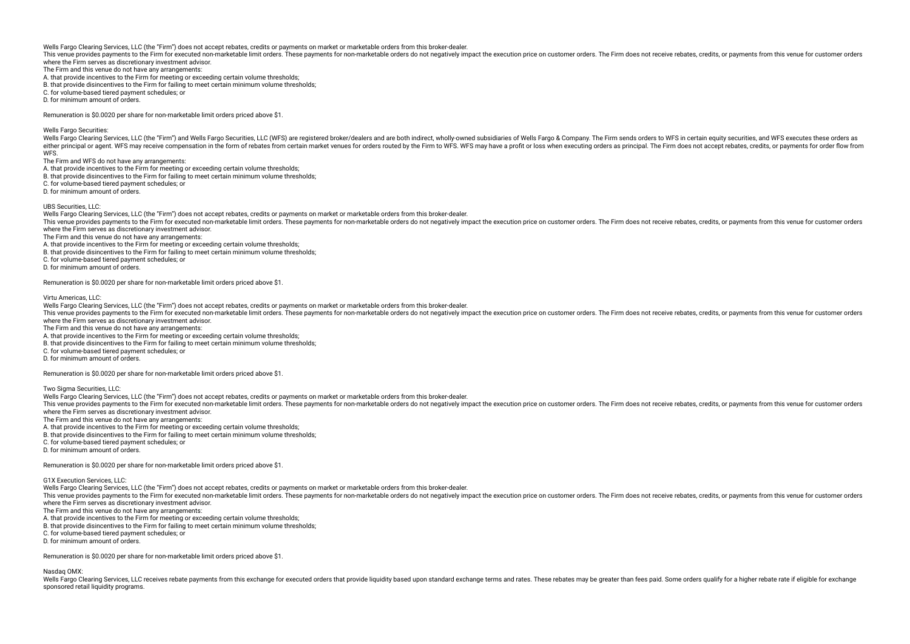This year to provides payments to the Firm for executed non-marketable limit orders. These payments for non-marketable orders do not negatively impact the execution price on customer orders. The Firm does not receive rebat where the Firm serves as discretionary investment advisor.

The Firm and this venue do not have any arrangements:

A. that provide incentives to the Firm for meeting or exceeding certain volume thresholds;

B. that provide disincentives to the Firm for failing to meet certain minimum volume thresholds;

C. for volume-based tiered payment schedules; or

D. for minimum amount of orders.

Remuneration is \$0.0020 per share for non-marketable limit orders priced above \$1.

Wells Fargo Securities:

Wells Fargo Clearing Services, LLC (the "Firm") and Wells Fargo Securities, LLC (WFS) are registered broker/dealers and are both indirect, wholly-owned subsidiaries of Wells Fargo & Company. The Firm sends orders to WFS in either principal or agent. WFS may receive compensation in the form of rebates from certain market venues for orders routed by the Firm to WFS. WFS may have a profit or loss when executing orders as principal. The Firm doe **WFS.** 

The Firm and WFS do not have any arrangements:

A. that provide incentives to the Firm for meeting or exceeding certain volume thresholds;

B. that provide disincentives to the Firm for failing to meet certain minimum volume thresholds;

C. for volume-based tiered payment schedules; or

D. for minimum amount of orders.

UBS Securities, LLC:

Wells Fargo Clearing Services, LLC (the "Firm") does not accept rebates, credits or payments on market or marketable orders from this broker-dealer.

This venue provides payments to the Firm for executed non-marketable limit orders. These payments for non-marketable orders do not peratively impact the execution price on customer orders. The Firm does not receive rebates where the Firm serves as discretionary investment advisor.

The Firm and this venue do not have any arrangements:

A. that provide incentives to the Firm for meeting or exceeding certain volume thresholds;

B. that provide disincentives to the Firm for failing to meet certain minimum volume thresholds;

C. for volume-based tiered payment schedules; or

D. for minimum amount of orders.

Remuneration is \$0.0020 per share for non-marketable limit orders priced above \$1.

Virtu Americas, LLC:

Wells Fargo Clearing Services, LLC (the "Firm") does not accept rebates, credits or payments on market or marketable orders from this broker-dealer.

This venue provides payments to the Firm for executed non-marketable limit orders. These payments for non-marketable orders do not negatively impact the execution price on customer orders. The Firm does not receive rebates where the Firm serves as discretionary investment advisor.

The Firm and this venue do not have any arrangements:

A. that provide incentives to the Firm for meeting or exceeding certain volume thresholds;

B. that provide disincentives to the Firm for failing to meet certain minimum volume thresholds;

C. for volume-based tiered payment schedules; or

D. for minimum amount of orders.

Remuneration is \$0.0020 per share for non-marketable limit orders priced above \$1.

Two Sigma Securities, LLC:

Wells Fargo Clearing Services, LLC (the "Firm") does not accept rebates, credits or payments on market or marketable orders from this broker-dealer.

This venue provides payments to the Firm for executed non-marketable limit orders. These payments for non-marketable orders do not negatively impact the execution price on customer orders. The Firm does not receive rebates where the Firm serves as discretionary investment advisor.

The Firm and this venue do not have any arrangements:

A. that provide incentives to the Firm for meeting or exceeding certain volume thresholds;

B. that provide disincentives to the Firm for failing to meet certain minimum volume thresholds;

C. for volume-based tiered payment schedules; or

D. for minimum amount of orders.

Remuneration is \$0.0020 per share for non-marketable limit orders priced above \$1.

G1X Execution Services, LLC:

Wells Fargo Clearing Services, LLC (the "Firm") does not accept rebates, credits or payments on market or marketable orders from this broker-dealer.

This venue provides payments to the Firm for executed non-marketable limit orders. These payments for non-marketable orders do not negatively impact the execution price on customer orders. The Firm does not receive rebates where the Firm serves as discretionary investment advisor.

The Firm and this venue do not have any arrangements:

A. that provide incentives to the Firm for meeting or exceeding certain volume thresholds;

B. that provide disincentives to the Firm for failing to meet certain minimum volume thresholds;

C. for volume-based tiered payment schedules; or

D. for minimum amount of orders.

Remuneration is \$0.0020 per share for non-marketable limit orders priced above \$1.

Nasdaq OMX:

Wells Fargo Clearing Services U.C receives rebate payments from this exchange for executed orders that provide liquidity based upon standard exchange terms and rates. These rebates may be greater than fees paid. Some order sponsored retail liquidity programs.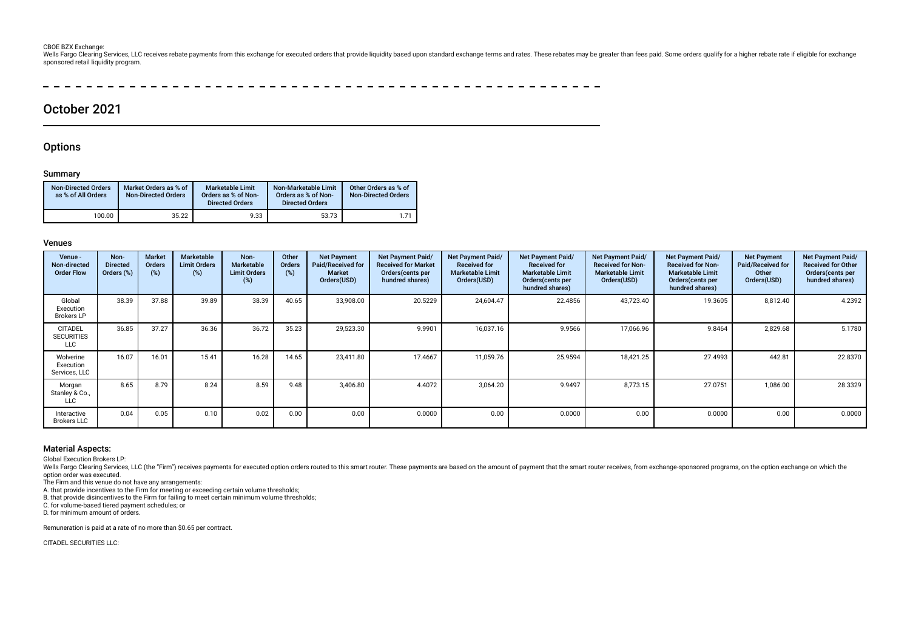#### CBOE BZX Exchange:

Wells Fargo Clearing Services, LLC receives rebate payments from this exchange for executed orders that provide liquidity based upon standard exchange terms and rates. These rebates may be greater than fees paid. Some orde sponsored retail liquidity program.

 $-$ ---------------- $-$ 

# October 2021

# **Options**

### Summary

| <b>Non-Directed Orders</b><br>as % of All Orders | Market Orders as % of<br><b>Non-Directed Orders</b> | <b>Marketable Limit</b><br>Orders as % of Non-<br><b>Directed Orders</b> | Non-Marketable Limit<br>Orders as % of Non-<br><b>Directed Orders</b> | Other Orders as % of<br><b>Non-Directed Orders</b> |
|--------------------------------------------------|-----------------------------------------------------|--------------------------------------------------------------------------|-----------------------------------------------------------------------|----------------------------------------------------|
| 100.00                                           | 35.22                                               | 9.33                                                                     | 53.73                                                                 | 1.71                                               |

### Venues

| Venue -<br>Non-directed<br><b>Order Flow</b>      | Non-<br><b>Directed</b><br>Orders (%) | <b>Market</b><br><b>Orders</b><br>$(\%)$ | <b>Marketable</b><br><b>Limit Orders</b><br>(%) | Non-<br>Marketable<br><b>Limit Orders</b><br>(%) | Other<br><b>Orders</b><br>(%) | <b>Net Payment</b><br>Paid/Received for<br><b>Market</b><br>Orders(USD) | Net Payment Paid/<br><b>Received for Market</b><br>Orders(cents per<br>hundred shares) | Net Payment Paid/<br><b>Received for</b><br><b>Marketable Limit</b><br>Orders(USD) | <b>Net Payment Paid/</b><br><b>Received for</b><br><b>Marketable Limit</b><br>Orders (cents per<br>hundred shares) | Net Payment Paid/<br><b>Received for Non-</b><br><b>Marketable Limit</b><br>Orders(USD) | <b>Net Payment Paid/</b><br><b>Received for Non-</b><br><b>Marketable Limit</b><br>Orders (cents per<br>hundred shares) | <b>Net Payment</b><br>Paid/Received for<br>Other<br>Orders(USD) | <b>Net Payment Paid/</b><br><b>Received for Other</b><br>Orders (cents per<br>hundred shares) |
|---------------------------------------------------|---------------------------------------|------------------------------------------|-------------------------------------------------|--------------------------------------------------|-------------------------------|-------------------------------------------------------------------------|----------------------------------------------------------------------------------------|------------------------------------------------------------------------------------|--------------------------------------------------------------------------------------------------------------------|-----------------------------------------------------------------------------------------|-------------------------------------------------------------------------------------------------------------------------|-----------------------------------------------------------------|-----------------------------------------------------------------------------------------------|
| Global<br>Execution<br><b>Brokers LP</b>          | 38.39                                 | 37.88                                    | 39.89                                           | 38.39                                            | 40.65                         | 33,908.00                                                               | 20.5229                                                                                | 24,604.47                                                                          | 22.4856                                                                                                            | 43,723.40                                                                               | 19.3605                                                                                                                 | 8,812.40                                                        | 4.2392                                                                                        |
| <b>CITADEL</b><br><b>SECURITIES</b><br><b>LLC</b> | 36.85                                 | 37.27                                    | 36.36                                           | 36.72                                            | 35.23                         | 29,523.30                                                               | 9.9901                                                                                 | 16,037.16                                                                          | 9.9566                                                                                                             | 17,066.96                                                                               | 9.8464                                                                                                                  | 2,829.68                                                        | 5.1780                                                                                        |
| Wolverine<br>Execution<br>Services, LLC           | 16.07                                 | 16.01                                    | 15.41                                           | 16.28                                            | 14.65                         | 23.411.80                                                               | 17.4667                                                                                | 11,059.76                                                                          | 25.9594                                                                                                            | 18,421.25                                                                               | 27.4993                                                                                                                 | 442.81                                                          | 22.8370                                                                                       |
| Morgan<br>Stanley & Co.,<br>LLC                   | 8.65                                  | 8.79                                     | 8.24                                            | 8.59                                             | 9.48                          | 3,406.80                                                                | 4.4072                                                                                 | 3,064.20                                                                           | 9.9497                                                                                                             | 8,773.15                                                                                | 27.0751                                                                                                                 | 1,086.00                                                        | 28.3329                                                                                       |
| Interactive<br><b>Brokers LLC</b>                 | 0.04                                  | 0.05                                     | 0.10                                            | 0.02                                             | 0.00                          | 0.00                                                                    | 0.0000                                                                                 | 0.00                                                                               | 0.0000                                                                                                             | 0.00                                                                                    | 0.0000                                                                                                                  | 0.00                                                            | 0.0000                                                                                        |

### Material Aspects:

Global Execution Brokers LP:

Wells Fargo Clearing Services, LLC (the "Firm") receives payments for executed option orders routed to this smart router. These payments are based on the amount of payment that the smart router receives, from exchange-spon option order was executed.

The Firm and this venue do not have any arrangements:

A. that provide incentives to the Firm for meeting or exceeding certain volume thresholds;

B. that provide disincentives to the Firm for failing to meet certain minimum volume thresholds;

C. for volume-based tiered payment schedules; or

D. for minimum amount of orders.

Remuneration is paid at a rate of no more than \$0.65 per contract.

CITADEL SECURITIES LLC: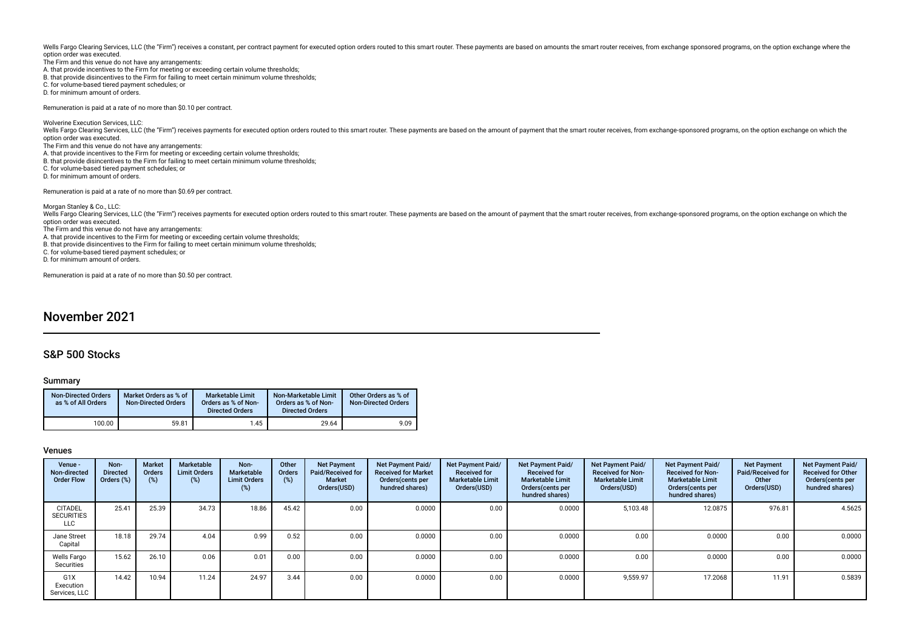Wells Fargo Clearing Services, LLC (the "Firm") receives a constant, per contract payment for executed option orders routed to this smart router. These payments are based on amounts the smart router receives, from exchange option order was executed.

- The Firm and this venue do not have any arrangements: A. that provide incentives to the Firm for meeting or exceeding certain volume thresholds; B. that provide disincentives to the Firm for failing to meet certain minimum volume thresholds; C. for volume-based tiered payment schedules; or
- D. for minimum amount of orders.

Remuneration is paid at a rate of no more than \$0.10 per contract.

Wolverine Execution Services, LLC: Wells Fargo Clearing Services, LLC (the "Firm") receives payments for executed option orders routed to this smart router. These payments are based on the amount of payment that the smart router receives, from exchange-spon option order was executed. The Firm and this venue do not have any arrangements: A. that provide incentives to the Firm for meeting or exceeding certain volume thresholds; B. that provide disincentives to the Firm for failing to meet certain minimum volume thresholds; C. for volume-based tiered payment schedules; or D. for minimum amount of orders.

Remuneration is paid at a rate of no more than \$0.69 per contract.

Morgan Stanley & Co., LLC: Wells Fargo Clearing Services, LLC (the "Firm") receives payments for executed option orders routed to this smart router. These payments are based on the amount of payment that the smart router receives, from exchange-spon option order was executed. The Firm and this venue do not have any arrangements: A. that provide incentives to the Firm for meeting or exceeding certain volume thresholds; B. that provide disincentives to the Firm for failing to meet certain minimum volume thresholds; C. for volume-based tiered payment schedules; or D. for minimum amount of orders.

Remuneration is paid at a rate of no more than \$0.50 per contract.

# November 2021

# S&P 500 Stocks

#### Summary

| <b>Non-Directed Orders</b><br>as % of All Orders | Market Orders as % of<br><b>Non-Directed Orders</b> | <b>Marketable Limit</b><br>Orders as % of Non-<br><b>Directed Orders</b> | Non-Marketable Limit<br>Orders as % of Non-<br><b>Directed Orders</b> | Other Orders as % of<br><b>Non-Directed Orders</b> |
|--------------------------------------------------|-----------------------------------------------------|--------------------------------------------------------------------------|-----------------------------------------------------------------------|----------------------------------------------------|
| 100.00                                           | 59.81                                               | 1.45                                                                     | 29.64                                                                 | 9.09                                               |

| Venue -<br>Non-directed<br><b>Order Flow</b>      | Non-<br><b>Directed</b><br>Orders (%) | <b>Market</b><br>Orders<br>$(\%)$ | Marketable<br><b>Limit Orders</b><br>(%) | Non-<br><b>Marketable</b><br><b>Limit Orders</b><br>$(\%)$ | Other<br><b>Orders</b><br>(%) | <b>Net Payment</b><br>Paid/Received for<br><b>Market</b><br>Orders(USD) | Net Payment Paid/<br><b>Received for Market</b><br>Orders (cents per<br>hundred shares) | <b>Net Payment Paid/</b><br><b>Received for</b><br><b>Marketable Limit</b><br>Orders(USD) | Net Payment Paid/<br><b>Received for</b><br><b>Marketable Limit</b><br>Orders (cents per<br>hundred shares) | Net Payment Paid/<br><b>Received for Non-</b><br><b>Marketable Limit</b><br>Orders(USD) | <b>Net Payment Paid/</b><br><b>Received for Non-</b><br><b>Marketable Limit</b><br>Orders (cents per<br>hundred shares) | <b>Net Payment</b><br>Paid/Received for<br>Other<br>Orders(USD) | Net Payment Paid/<br><b>Received for Other</b><br>Orders(cents per<br>hundred shares) |
|---------------------------------------------------|---------------------------------------|-----------------------------------|------------------------------------------|------------------------------------------------------------|-------------------------------|-------------------------------------------------------------------------|-----------------------------------------------------------------------------------------|-------------------------------------------------------------------------------------------|-------------------------------------------------------------------------------------------------------------|-----------------------------------------------------------------------------------------|-------------------------------------------------------------------------------------------------------------------------|-----------------------------------------------------------------|---------------------------------------------------------------------------------------|
| <b>CITADEL</b><br><b>SECURITIES</b><br><b>LLC</b> | 25.41                                 | 25.39                             | 34.73                                    | 18.86                                                      | 45.42                         | 0.00                                                                    | 0.0000                                                                                  | 0.00                                                                                      | 0.0000                                                                                                      | 5,103.48                                                                                | 12.0875                                                                                                                 | 976.81                                                          | 4.5625                                                                                |
| Jane Street<br>Capital                            | 18.18                                 | 29.74                             | 4.04                                     | 0.99                                                       | 0.52                          | 0.00                                                                    | 0.0000                                                                                  | 0.00                                                                                      | 0.0000                                                                                                      | 0.00                                                                                    | 0.0000                                                                                                                  | 0.00                                                            | $0.0000$                                                                              |
| Wells Fargo<br>Securities                         | 15.62                                 | 26.10                             | 0.06                                     | 0.01                                                       | 0.00                          | 0.00                                                                    | 0.0000                                                                                  | 0.00                                                                                      | 0.0000                                                                                                      | 0.00                                                                                    | 0.0000                                                                                                                  | 0.00                                                            | 0.0000                                                                                |
| G <sub>1</sub> X<br>Execution<br>Services, LLC    | 14.42                                 | 10.94                             | 11.24                                    | 24.97                                                      | 3.44                          | 0.00                                                                    | 0.0000                                                                                  | 0.00                                                                                      | 0.0000                                                                                                      | 9.559.97                                                                                | 17.2068                                                                                                                 | 11.91                                                           | 0.5839                                                                                |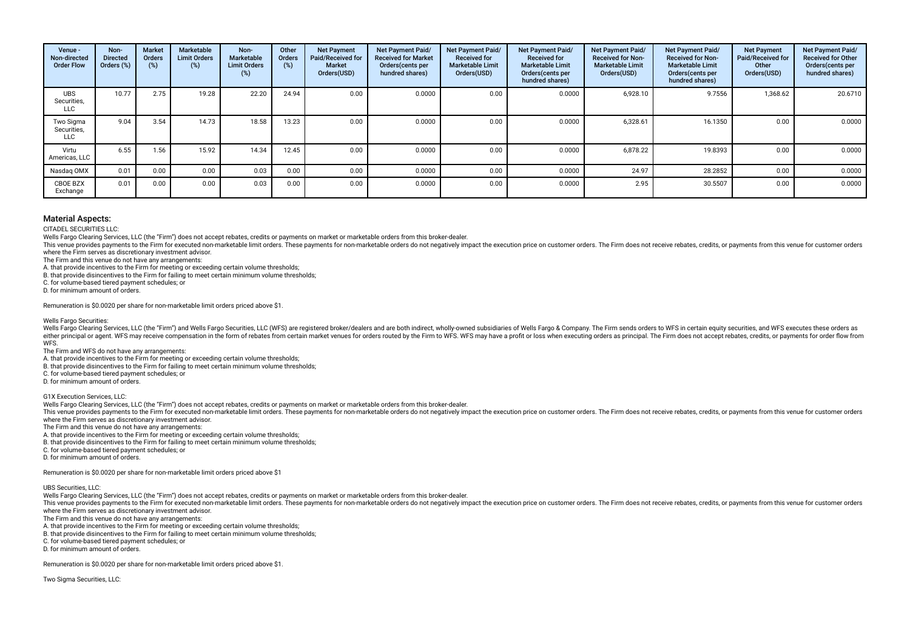| Venue -<br>Non-directed<br><b>Order Flow</b> | Non-<br><b>Directed</b><br>Orders (%) | <b>Market</b><br>Orders<br>$(\%)$ | Marketable<br><b>Limit Orders</b><br>(%) | Non-<br>Marketable<br><b>Limit Orders</b><br>(%) | Other<br>Orders<br>(%) | <b>Net Payment</b><br>Paid/Received for<br><b>Market</b><br>Orders(USD) | <b>Net Payment Paid/</b><br><b>Received for Market</b><br>Orders(cents per<br>hundred shares) | Net Payment Paid/<br><b>Received for</b><br><b>Marketable Limit</b><br>Orders(USD) | <b>Net Payment Paid/</b><br><b>Received for</b><br><b>Marketable Limit</b><br>Orders (cents per<br>hundred shares) | Net Payment Paid/<br><b>Received for Non-</b><br><b>Marketable Limit</b><br>Orders(USD) | Net Payment Paid/<br><b>Received for Non-</b><br><b>Marketable Limit</b><br>Orders (cents per<br>hundred shares) | <b>Net Payment</b><br>Paid/Received for<br>Other<br>Orders(USD) | Net Payment Paid/<br><b>Received for Other</b><br>Orders(cents per<br>hundred shares) |
|----------------------------------------------|---------------------------------------|-----------------------------------|------------------------------------------|--------------------------------------------------|------------------------|-------------------------------------------------------------------------|-----------------------------------------------------------------------------------------------|------------------------------------------------------------------------------------|--------------------------------------------------------------------------------------------------------------------|-----------------------------------------------------------------------------------------|------------------------------------------------------------------------------------------------------------------|-----------------------------------------------------------------|---------------------------------------------------------------------------------------|
| <b>UBS</b><br>Securities,<br><b>LLC</b>      | 10.77                                 | 2.75                              | 19.28                                    | 22.20                                            | 24.94                  | 0.00                                                                    | 0.0000                                                                                        | 0.00                                                                               | 0.0000                                                                                                             | 6,928.10                                                                                | 9.7556                                                                                                           | 1,368.62                                                        | 20.6710                                                                               |
| Two Sigma<br>Securities,<br>LLC              | 9.04                                  | 3.54                              | 14.73                                    | 18.58                                            | 13.23                  | 0.00                                                                    | 0.0000                                                                                        | 0.00                                                                               | 0.0000                                                                                                             | 6,328.61                                                                                | 16.1350                                                                                                          | 0.00                                                            | 0.0000                                                                                |
| Virtu<br>Americas, LLC                       | 6.55                                  | 1.56                              | 15.92                                    | 14.34                                            | 12.45                  | 0.00                                                                    | 0.0000                                                                                        | 0.00                                                                               | 0.0000                                                                                                             | 6.878.22                                                                                | 19.8393                                                                                                          | 0.00                                                            | 0.0000                                                                                |
| Nasdag OMX                                   | 0.01                                  | 0.00                              | 0.00                                     | 0.03                                             | 0.00                   | 0.00                                                                    | 0.0000                                                                                        | 0.00                                                                               | 0.0000                                                                                                             | 24.97                                                                                   | 28.2852                                                                                                          | 0.00                                                            | 0.0000                                                                                |
| CBOE BZX<br>Exchange                         | 0.01                                  | 0.00                              | 0.00                                     | 0.03                                             | 0.00                   | 0.00                                                                    | 0.0000                                                                                        | 0.00                                                                               | 0.0000                                                                                                             | 2.95                                                                                    | 30.5507                                                                                                          | 0.00                                                            | 0.0000                                                                                |

CITADEL SECURITIES LLC:

Wells Fargo Clearing Services, LLC (the "Firm") does not accept rebates, credits or payments on market or marketable orders from this broker-dealer.

This venue provides payments to the Firm for executed non-marketable limit orders. These payments for non-marketable orders do not negatively impact the execution price on customer orders. The Firm does not receive rebates where the Firm serves as discretionary investment advisor.

The Firm and this venue do not have any arrangements:

A. that provide incentives to the Firm for meeting or exceeding certain volume thresholds;

B. that provide disincentives to the Firm for failing to meet certain minimum volume thresholds;

C. for volume-based tiered payment schedules; or

D. for minimum amount of orders.

Remuneration is \$0.0020 per share for non-marketable limit orders priced above \$1.

#### Wells Fargo Securities:

Wells Fargo Clearing Services, LLC (the "Firm") and Wells Fargo Securities, LLC (WFS) are registered broker/dealers and are both indirect, wholly-owned subsidiaries of Wells Fargo & Company. The Firm sends orders to WFS in either principal or agent. WFS may receive compensation in the form of rebates from certain market venues for orders routed by the Firm to WFS. WFS may have a profit or loss when executing orders as principal. The Firm doe WFS.

The Firm and WFS do not have any arrangements:

A. that provide incentives to the Firm for meeting or exceeding certain volume thresholds;

B. that provide disincentives to the Firm for failing to meet certain minimum volume thresholds;

C. for volume-based tiered payment schedules; or

D. for minimum amount of orders.

G1X Execution Services, LLC:

Wells Fargo Clearing Services, LLC (the "Firm") does not accept rebates, credits or payments on market or marketable orders from this broker-dealer.

This venue provides payments to the Firm for executed non-marketable limit orders. These payments for non-marketable orders do not negatively impact the execution price on customer orders. The Firm does not receive rebates where the Firm serves as discretionary investment advisor.

The Firm and this venue do not have any arrangements:

A. that provide incentives to the Firm for meeting or exceeding certain volume thresholds;

B. that provide disincentives to the Firm for failing to meet certain minimum volume thresholds;

C. for volume-based tiered payment schedules; or

D. for minimum amount of orders.

Remuneration is \$0.0020 per share for non-marketable limit orders priced above \$1

#### UBS Securities, LLC:

Wells Fargo Clearing Services, LLC (the "Firm") does not accept rebates, credits or payments on market or marketable orders from this broker-dealer.

This venue provides payments to the Firm for executed non-marketable limit orders. These payments for non-marketable orders do not negatively impact the execution price on customer orders. The Firm does not receive rebates where the Firm serves as discretionary investment advisor.

The Firm and this venue do not have any arrangements:

A. that provide incentives to the Firm for meeting or exceeding certain volume thresholds;

B. that provide disincentives to the Firm for failing to meet certain minimum volume thresholds;

C. for volume-based tiered payment schedules; or

D. for minimum amount of orders.

Remuneration is \$0.0020 per share for non-marketable limit orders priced above \$1.

Two Sigma Securities, LLC: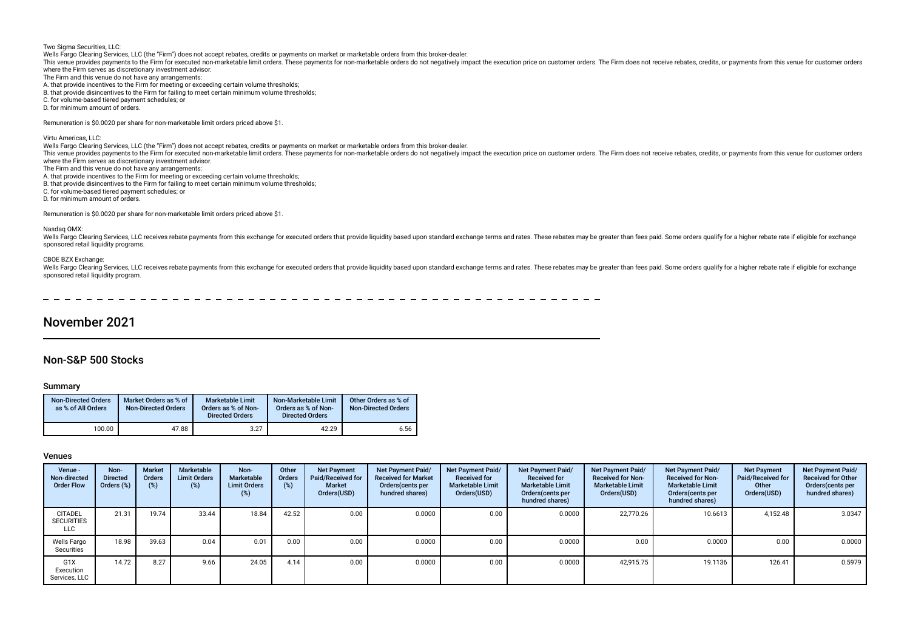Two Sigma Securities, LLC: Wells Fargo Clearing Services, LLC (the "Firm") does not accept rebates, credits or payments on market or marketable orders from this broker-dealer. This venue provides payments to the Firm for executed non-marketable limit orders. These payments for non-marketable orders do not negatively impact the execution price on customer orders. The Firm does not receive rebates where the Firm serves as discretionary investment advisor. The Firm and this venue do not have any arrangements: A. that provide incentives to the Firm for meeting or exceeding certain volume thresholds; B. that provide disincentives to the Firm for failing to meet certain minimum volume thresholds; C. for volume-based tiered payment schedules; or D. for minimum amount of orders. Remuneration is \$0.0020 per share for non-marketable limit orders priced above \$1. Virtu Americas, LLC: Wells Fargo Clearing Services, LLC (the "Firm") does not accept rebates, credits or payments on market or marketable orders from this broker-dealer. This venue provides payments to the Firm for executed non-marketable limit orders. These payments for non-marketable orders do not negatively impact the execution price on customer orders. The Firm does not receive rebates where the Firm serves as discretionary investment advisor. The Firm and this venue do not have any arrangements: A. that provide incentives to the Firm for meeting or exceeding certain volume thresholds; B. that provide disincentives to the Firm for failing to meet certain minimum volume thresholds; C. for volume-based tiered payment schedules; or D. for minimum amount of orders. Remuneration is \$0.0020 per share for non-marketable limit orders priced above \$1. Nasdaq OMX: Wells Fargo Clearing Services, LLC receives rebate payments from this exchange for executed orders that provide liquidity based upon standard exchange terms and rates. These rebate shay be greater than fees paid. Some orde sponsored retail liquidity programs. CBOE BZX Exchange: Wells Fargo Clearing Services, LLC receives rebate payments from this exchange for executed orders that provide liquidity based upon standard exchange terms and rates. These rebates may be greater than fees paid. Some orde

sponsored retail liquidity program.

 $-$ 

# November 2021

# Non-S&P 500 Stocks

### Summary

| <b>Non-Directed Orders</b><br>as % of All Orders | Market Orders as % of<br><b>Non-Directed Orders</b> | <b>Marketable Limit</b><br>Orders as % of Non-<br><b>Directed Orders</b> | Non-Marketable Limit<br>Orders as % of Non-<br><b>Directed Orders</b> | Other Orders as % of<br><b>Non-Directed Orders</b> |
|--------------------------------------------------|-----------------------------------------------------|--------------------------------------------------------------------------|-----------------------------------------------------------------------|----------------------------------------------------|
| 100.00                                           | 47.88                                               | 3.27                                                                     | 42.29                                                                 | 6.56                                               |

| Venue -<br>Non-directed<br><b>Order Flow</b>      | Non-<br><b>Directed</b><br>Orders (%) | <b>Market</b><br>Orders<br>$(\%)$ | Marketable<br><b>Limit Orders</b><br>(%) | Non-<br>Marketable<br><b>Limit Orders</b><br>$(\%)$ | Other<br><b>Orders</b><br>(%) | <b>Net Payment</b><br><b>Paid/Received for</b><br><b>Market</b><br>Orders(USD) | <b>Net Payment Paid/</b><br><b>Received for Market</b><br>Orders (cents per<br>hundred shares) | Net Payment Paid/<br><b>Received for</b><br><b>Marketable Limit</b><br>Orders(USD) | Net Payment Paid/<br><b>Received for</b><br><b>Marketable Limit</b><br>Orders (cents per<br>hundred shares) | Net Payment Paid/<br><b>Received for Non-</b><br><b>Marketable Limit</b><br>Orders(USD) | Net Payment Paid/<br><b>Received for Non-</b><br><b>Marketable Limit</b><br>Orders (cents per<br>hundred shares) | <b>Net Payment</b><br><b>Paid/Received for</b><br>Other<br>Orders(USD) | Net Payment Paid/<br><b>Received for Other</b><br>Orders (cents per<br>hundred shares) |
|---------------------------------------------------|---------------------------------------|-----------------------------------|------------------------------------------|-----------------------------------------------------|-------------------------------|--------------------------------------------------------------------------------|------------------------------------------------------------------------------------------------|------------------------------------------------------------------------------------|-------------------------------------------------------------------------------------------------------------|-----------------------------------------------------------------------------------------|------------------------------------------------------------------------------------------------------------------|------------------------------------------------------------------------|----------------------------------------------------------------------------------------|
| <b>CITADEL</b><br><b>SECURITIES</b><br><b>LLC</b> | 21.31                                 | 19.74                             | 33.44                                    | 18.84                                               | 42.52                         | 0.00                                                                           | 0.0000                                                                                         | 0.00                                                                               | 0.0000                                                                                                      | 22,770.26                                                                               | 10.6613                                                                                                          | 4,152.48                                                               | 3.0347                                                                                 |
| Wells Fargo<br>Securities                         | 18.98                                 | 39.63                             | 0.04                                     | 0.01                                                | 0.00                          | 0.00                                                                           | 0.0000                                                                                         | 0.00                                                                               | 0.0000                                                                                                      | 0.00                                                                                    | 0.0000                                                                                                           | 0.00                                                                   | 0.0000                                                                                 |
| G1X<br>Execution<br>Services, LLC                 | 14.72                                 | 8.27                              | 9.66                                     | 24.05                                               | 4.14                          | 0.00                                                                           | 0.0000                                                                                         | 0.00                                                                               | 0.0000                                                                                                      | 42.915.75                                                                               | 19.1136                                                                                                          | 126.41                                                                 | 0.5979                                                                                 |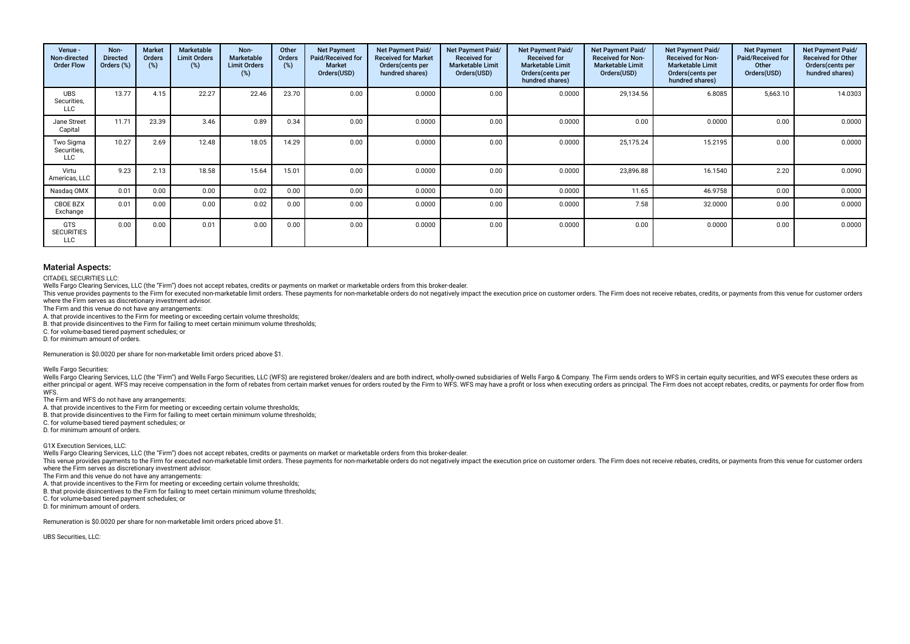| Venue -<br>Non-directed<br><b>Order Flow</b>  | Non-<br><b>Directed</b><br>Orders (%) | <b>Market</b><br><b>Orders</b><br>(%) | Marketable<br><b>Limit Orders</b><br>(%) | Non-<br>Marketable<br><b>Limit Orders</b><br>(%) | Other<br><b>Orders</b><br>(%) | <b>Net Payment</b><br>Paid/Received for<br><b>Market</b><br>Orders(USD) | Net Payment Paid/<br><b>Received for Market</b><br>Orders(cents per<br>hundred shares) | Net Payment Paid/<br><b>Received for</b><br><b>Marketable Limit</b><br>Orders(USD) | Net Payment Paid/<br><b>Received for</b><br><b>Marketable Limit</b><br>Orders(cents per<br>hundred shares) | Net Payment Paid/<br><b>Received for Non-</b><br><b>Marketable Limit</b><br>Orders(USD) | Net Payment Paid/<br><b>Received for Non-</b><br><b>Marketable Limit</b><br>Orders (cents per<br>hundred shares) | <b>Net Payment</b><br>Paid/Received for<br>Other<br>Orders(USD) | Net Payment Paid/<br><b>Received for Other</b><br>Orders (cents per<br>hundred shares) |
|-----------------------------------------------|---------------------------------------|---------------------------------------|------------------------------------------|--------------------------------------------------|-------------------------------|-------------------------------------------------------------------------|----------------------------------------------------------------------------------------|------------------------------------------------------------------------------------|------------------------------------------------------------------------------------------------------------|-----------------------------------------------------------------------------------------|------------------------------------------------------------------------------------------------------------------|-----------------------------------------------------------------|----------------------------------------------------------------------------------------|
| <b>UBS</b><br>Securities,<br><b>LLC</b>       | 13.77                                 | 4.15                                  | 22.27                                    | 22.46                                            | 23.70                         | 0.00                                                                    | 0.0000                                                                                 | 0.00                                                                               | 0.0000                                                                                                     | 29,134.56                                                                               | 6.8085                                                                                                           | 5,663.10                                                        | 14.0303                                                                                |
| Jane Street<br>Capital                        | 11.71                                 | 23.39                                 | 3.46                                     | 0.89                                             | 0.34                          | 0.00                                                                    | 0.0000                                                                                 | 0.00                                                                               | 0.0000                                                                                                     | 0.00                                                                                    | 0.0000                                                                                                           | 0.00                                                            | 0.0000                                                                                 |
| Two Sigma<br>Securities,<br><b>LLC</b>        | 10.27                                 | 2.69                                  | 12.48                                    | 18.05                                            | 14.29                         | 0.00                                                                    | 0.0000                                                                                 | 0.00                                                                               | 0.0000                                                                                                     | 25,175.24                                                                               | 15.2195                                                                                                          | 0.00                                                            | 0.0000                                                                                 |
| Virtu<br>Americas, LLC                        | 9.23                                  | 2.13                                  | 18.58                                    | 15.64                                            | 15.01                         | 0.00                                                                    | 0.0000                                                                                 | 0.00                                                                               | 0.0000                                                                                                     | 23,896.88                                                                               | 16.1540                                                                                                          | 2.20                                                            | 0.0090                                                                                 |
| Nasdag OMX                                    | 0.01                                  | 0.00                                  | 0.00                                     | 0.02                                             | 0.00                          | 0.00                                                                    | 0.0000                                                                                 | 0.00                                                                               | 0.0000                                                                                                     | 11.65                                                                                   | 46.9758                                                                                                          | 0.00                                                            | 0.0000                                                                                 |
| CBOE BZX<br>Exchange                          | 0.01                                  | 0.00                                  | 0.00                                     | 0.02                                             | 0.00                          | 0.00                                                                    | 0.0000                                                                                 | 0.00                                                                               | 0.0000                                                                                                     | 7.58                                                                                    | 32.0000                                                                                                          | 0.00                                                            | 0.0000                                                                                 |
| <b>GTS</b><br><b>SECURITIES</b><br><b>LLC</b> | 0.00                                  | 0.00                                  | 0.01                                     | 0.00                                             | 0.00                          | 0.00                                                                    | 0.0000                                                                                 | 0.00                                                                               | 0.0000                                                                                                     | 0.00                                                                                    | 0.0000                                                                                                           | 0.00                                                            | 0.0000                                                                                 |

CITADEL SECURITIES LLC:

Wells Fargo Clearing Services, LLC (the "Firm") does not accept rebates, credits or payments on market or marketable orders from this broker-dealer.

This venue provides payments to the Firm for executed non-marketable limit orders. These payments for non-marketable orders do not negatively impact the execution price on customer orders. The Firm does not receive rebates where the Firm serves as discretionary investment advisor.

The Firm and this venue do not have any arrangements:

A. that provide incentives to the Firm for meeting or exceeding certain volume thresholds;

B. that provide disincentives to the Firm for failing to meet certain minimum volume thresholds;

C. for volume-based tiered payment schedules; or

D. for minimum amount of orders.

Remuneration is \$0.0020 per share for non-marketable limit orders priced above \$1.

Wells Fargo Securities:

Wells Fargo Clearing Services, LLC (the "Firm") and Wells Fargo Securities, LLC (WFS) are registered broker/dealers and are both indirect, wholly-owned subsidiaries of Wells Fargo & Company. The Firm sends orders to WFS in either principal or agent. WFS may receive compensation in the form of rebates from certain market venues for orders routed by the Firm to WFS. WFS may have a profit or loss when executing orders as principal. The Firm doe WFS.

The Firm and WFS do not have any arrangements:

A. that provide incentives to the Firm for meeting or exceeding certain volume thresholds;

B. that provide disincentives to the Firm for failing to meet certain minimum volume thresholds;

C. for volume-based tiered payment schedules; or

D. for minimum amount of orders.

G1X Execution Services, LLC:

Wells Fargo Clearing Services, LLC (the "Firm") does not accept rebates, credits or payments on market or marketable orders from this broker-dealer.

This venue provides payments to the Firm for executed non-marketable limit orders. These payments for non-marketable orders do not negatively impact the execution price on customer orders. The Firm does not receive rebates where the Firm serves as discretionary investment advisor.

The Firm and this venue do not have any arrangements:

A. that provide incentives to the Firm for meeting or exceeding certain volume thresholds;

B. that provide disincentives to the Firm for failing to meet certain minimum volume thresholds;

C. for volume-based tiered payment schedules; or

D. for minimum amount of orders.

Remuneration is \$0.0020 per share for non-marketable limit orders priced above \$1.

UBS Securities, LLC: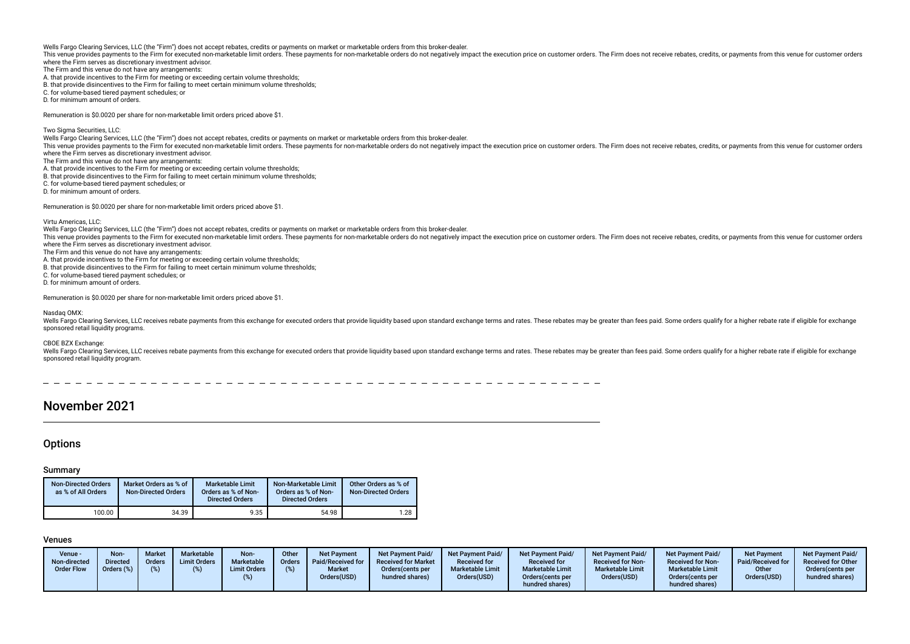This venue provides payments to the Firm for executed non-marketable limit orders. These payments for non-marketable orders do not negatively impact the execution price on customer orders. The Firm does not receive rebates where the Firm serves as discretionary investment advisor.

The Firm and this venue do not have any arrangements:

A. that provide incentives to the Firm for meeting or exceeding certain volume thresholds;

B. that provide disincentives to the Firm for failing to meet certain minimum volume thresholds;

C. for volume-based tiered payment schedules; or

D. for minimum amount of orders.

Remuneration is \$0.0020 per share for non-marketable limit orders priced above \$1.

Two Sigma Securities, LLC:

Wells Fargo Clearing Services, LLC (the "Firm") does not accept rebates, credits or payments on market or marketable orders from this broker-dealer.

This venue provides payments to the Firm for executed non-marketable limit orders. These payments for non-marketable orders do not negatively impact the execution price on customer orders. The Firm does not receive rebates where the Firm serves as discretionary investment advisor.

The Firm and this venue do not have any arrangements:

A. that provide incentives to the Firm for meeting or exceeding certain volume thresholds;

B. that provide disincentives to the Firm for failing to meet certain minimum volume thresholds;

C. for volume-based tiered payment schedules; or D. for minimum amount of orders.

Remuneration is \$0.0020 per share for non-marketable limit orders priced above \$1.

Virtu Americas, LLC:

Wells Fargo Clearing Services, LLC (the "Firm") does not accept rebates, credits or payments on market or marketable orders from this broker-dealer.

This venue provides payments to the Firm for executed non-marketable limit orders. These payments for non-marketable orders do not negatively impact the execution price on customer orders. The Firm does not receive rebates where the Firm serves as discretionary investment advisor.

The Firm and this venue do not have any arrangements:

A. that provide incentives to the Firm for meeting or exceeding certain volume thresholds;

B. that provide disincentives to the Firm for failing to meet certain minimum volume thresholds;

C. for volume-based tiered payment schedules; or

D. for minimum amount of orders.

Remuneration is \$0.0020 per share for non-marketable limit orders priced above \$1.

#### Nasdaq OMX:

Wells Fargo Clearing Services U.C receives rebate payments from this exchange for executed orders that provide liquidity based upon standard exchange terms and rates. These rebates may be greater than fees paid. Some order sponsored retail liquidity programs.

CBOE BZX Exchange:

Wells Fargo Clearing Services, LLC receives rebate payments from this exchange for executed orders that provide liquidity based upon standard exchange terms and rates. These rebate shay be greater than fees paid. Some orde sponsored retail liquidity program.

# November 2021

# **Options**

#### Summary

| <b>Non-Directed Orders</b><br>as % of All Orders | Market Orders as % of<br><b>Non-Directed Orders</b> | <b>Marketable Limit</b><br>Orders as % of Non-<br><b>Directed Orders</b> | Non-Marketable Limit<br>Orders as % of Non-<br><b>Directed Orders</b> | Other Orders as % of<br><b>Non-Directed Orders</b> |
|--------------------------------------------------|-----------------------------------------------------|--------------------------------------------------------------------------|-----------------------------------------------------------------------|----------------------------------------------------|
| 100.00                                           | 34.39                                               | 9.35                                                                     | 54.98                                                                 | 1.28                                               |

| Venue -<br>Non-directed<br><b>Order Flow</b> | Non-<br>Directed<br>Orders (%) | <b>Market</b><br><b>Orders</b><br>$(%^{6})$ | <b>Marketable</b><br><b>Limit Orders</b> | Non-<br>Marketable<br><b>Limit Orders</b> | Other<br>Orders | <b>Net Payment</b><br>Paid/Received for<br><b>Market</b><br>Orders(USD) | <b>Net Payment Paid/</b><br><b>Received for Market</b><br>Orders (cents per<br>hundred shares) | <b>Net Payment Paid/</b><br><b>Received for</b><br><b>Marketable Limit</b><br>Orders(USD) | <b>Net Payment Paid/</b><br><b>Received for</b><br><b>Marketable Limit</b><br>Orders (cents per | Net Payment Paid/<br><b>Received for Non-</b><br><b>Marketable Limit</b><br>Orders(USD) | Net Payment Paid/<br><b>Received for Non-</b><br><b>Marketable Limit</b><br>Orders (cents per | <b>Net Payment</b><br>Paid/Received for<br>Other<br>Orders(USD) | <b>Net Payment Paid/</b><br><b>Received for Other</b><br>Orders (cents per<br>hundred shares) |
|----------------------------------------------|--------------------------------|---------------------------------------------|------------------------------------------|-------------------------------------------|-----------------|-------------------------------------------------------------------------|------------------------------------------------------------------------------------------------|-------------------------------------------------------------------------------------------|-------------------------------------------------------------------------------------------------|-----------------------------------------------------------------------------------------|-----------------------------------------------------------------------------------------------|-----------------------------------------------------------------|-----------------------------------------------------------------------------------------------|
|                                              |                                |                                             |                                          |                                           |                 |                                                                         |                                                                                                |                                                                                           | hundred shares)                                                                                 |                                                                                         | hundred shares)                                                                               |                                                                 |                                                                                               |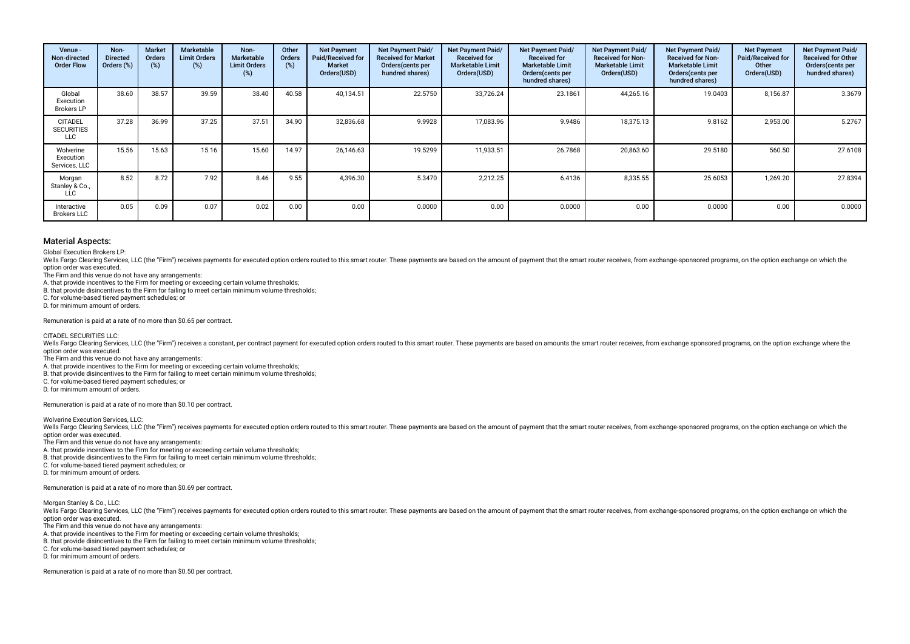| Venue -<br>Non-directed<br><b>Order Flow</b>      | Non-<br><b>Directed</b><br>Orders (%) | <b>Market</b><br><b>Orders</b><br>(%) | <b>Marketable</b><br><b>Limit Orders</b><br>$(\%)$ | Non-<br>Marketable<br><b>Limit Orders</b><br>(%) | Other<br>Orders<br>(%) | <b>Net Payment</b><br>Paid/Received for<br><b>Market</b><br>Orders(USD) | Net Payment Paid/<br><b>Received for Market</b><br>Orders (cents per<br>hundred shares) | Net Payment Paid/<br><b>Received for</b><br><b>Marketable Limit</b><br>Orders(USD) | <b>Net Payment Paid/</b><br><b>Received for</b><br><b>Marketable Limit</b><br>Orders (cents per<br>hundred shares) | Net Payment Paid/<br><b>Received for Non-</b><br><b>Marketable Limit</b><br>Orders(USD) | Net Payment Paid/<br><b>Received for Non-</b><br><b>Marketable Limit</b><br>Orders (cents per<br>hundred shares) | <b>Net Payment</b><br>Paid/Received for<br>Other<br>Orders(USD) | Net Payment Paid/<br><b>Received for Other</b><br>Orders (cents per<br>hundred shares) |
|---------------------------------------------------|---------------------------------------|---------------------------------------|----------------------------------------------------|--------------------------------------------------|------------------------|-------------------------------------------------------------------------|-----------------------------------------------------------------------------------------|------------------------------------------------------------------------------------|--------------------------------------------------------------------------------------------------------------------|-----------------------------------------------------------------------------------------|------------------------------------------------------------------------------------------------------------------|-----------------------------------------------------------------|----------------------------------------------------------------------------------------|
| Global<br>Execution<br><b>Brokers LP</b>          | 38.60                                 | 38.57                                 | 39.59                                              | 38.40                                            | 40.58                  | 40,134.51                                                               | 22.5750                                                                                 | 33,726.24                                                                          | 23.1861                                                                                                            | 44,265.16                                                                               | 19.0403                                                                                                          | 8,156.87                                                        | 3.3679                                                                                 |
| <b>CITADEL</b><br><b>SECURITIES</b><br><b>LLC</b> | 37.28                                 | 36.99                                 | 37.25                                              | 37.51                                            | 34.90                  | 32,836.68                                                               | 9.9928                                                                                  | 17,083.96                                                                          | 9.9486                                                                                                             | 18,375.13                                                                               | 9.8162                                                                                                           | 2,953.00                                                        | 5.2767                                                                                 |
| Wolverine<br>Execution<br>Services, LLC           | 15.56                                 | 15.63                                 | 15.16                                              | 15.60                                            | 14.97                  | 26.146.63                                                               | 19.5299                                                                                 | 11,933.51                                                                          | 26.7868                                                                                                            | 20,863.60                                                                               | 29.5180                                                                                                          | 560.50                                                          | 27.6108                                                                                |
| Morgan<br>Stanley & Co.,<br><b>LLC</b>            | 8.52                                  | 8.72                                  | 7.92                                               | 8.46                                             | 9.55                   | 4,396.30                                                                | 5.3470                                                                                  | 2,212.25                                                                           | 6.4136                                                                                                             | 8,335.55                                                                                | 25.6053                                                                                                          | 1,269.20                                                        | 27.8394                                                                                |
| Interactive<br><b>Brokers LLC</b>                 | 0.05                                  | 0.09                                  | 0.07                                               | 0.02                                             | 0.00                   | 0.00                                                                    | 0.0000                                                                                  | 0.00                                                                               | 0.0000                                                                                                             | 0.00                                                                                    | 0.0000                                                                                                           | 0.00                                                            | 0.0000                                                                                 |

Global Execution Brokers LP:

Wells Fargo Clearing Services, LLC (the "Firm") receives payments for executed option orders routed to this smart router. These payments are based on the amount of payment that the smart router receives, from exchange-spon option order was executed.

The Firm and this venue do not have any arrangements:

A. that provide incentives to the Firm for meeting or exceeding certain volume thresholds;

B. that provide disincentives to the Firm for failing to meet certain minimum volume thresholds;

C. for volume-based tiered payment schedules; or

D. for minimum amount of orders.

Remuneration is paid at a rate of no more than \$0.65 per contract.

CITADEL SECURITIES LLC:

Wells Fargo Clearing Services, LLC (the "Firm") receives a constant, per contract payment for executed option orders routed to this smart router. These payments are based on amounts the smart router receives, from exchange option order was executed.

The Firm and this venue do not have any arrangements:

A. that provide incentives to the Firm for meeting or exceeding certain volume thresholds;

B. that provide disincentives to the Firm for failing to meet certain minimum volume thresholds;

C. for volume-based tiered payment schedules; or

D. for minimum amount of orders.

Remuneration is paid at a rate of no more than \$0.10 per contract.

Wolverine Execution Services, LLC:

Wells Fargo Clearing Services, LLC (the "Firm") receives payments for executed option orders routed to this smart router. These payments are based on the amount of payment that the smart router receives, from exchange-spon option order was executed.

The Firm and this venue do not have any arrangements:

A. that provide incentives to the Firm for meeting or exceeding certain volume thresholds;

B. that provide disincentives to the Firm for failing to meet certain minimum volume thresholds;

C. for volume-based tiered payment schedules; or

D. for minimum amount of orders.

Remuneration is paid at a rate of no more than \$0.69 per contract.

Morgan Stanley & Co., LLC:

Wells Fargo Clearing Services, LLC (the "Firm") receives payments for executed option orders routed to this smart router. These payments are based on the amount of payment that the smart router receives, from exchange-spon option order was executed.

The Firm and this venue do not have any arrangements:

A. that provide incentives to the Firm for meeting or exceeding certain volume thresholds;

B. that provide disincentives to the Firm for failing to meet certain minimum volume thresholds;

C. for volume-based tiered payment schedules; or

D. for minimum amount of orders.

Remuneration is paid at a rate of no more than \$0.50 per contract.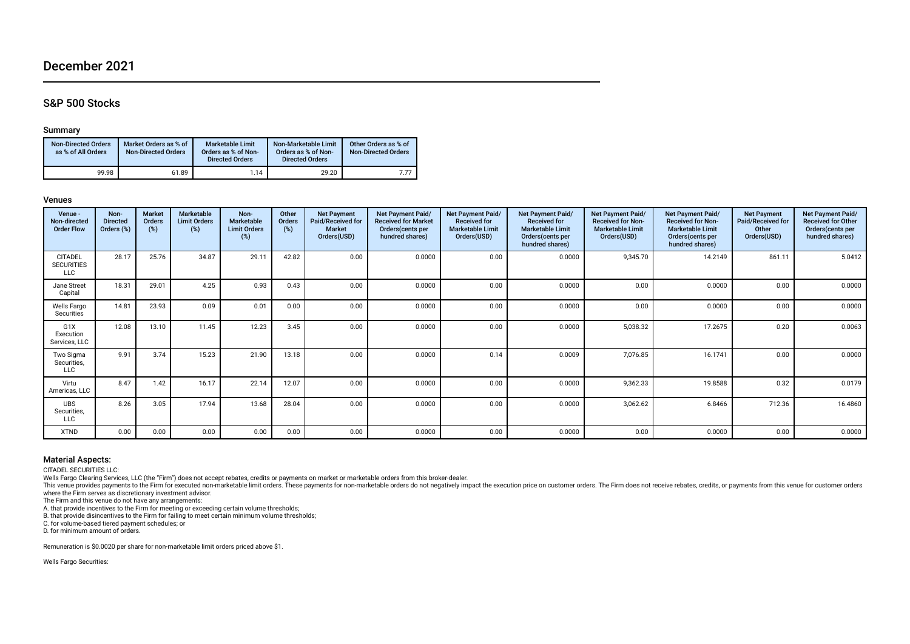# December 2021

# S&P 500 Stocks

### Summary

| <b>Non-Directed Orders</b><br>as % of All Orders | Market Orders as % of<br><b>Non-Directed Orders</b> | <b>Marketable Limit</b><br>Orders as % of Non-<br><b>Directed Orders</b> | Non-Marketable Limit<br>Orders as % of Non-<br><b>Directed Orders</b> | Other Orders as % of<br><b>Non-Directed Orders</b> |
|--------------------------------------------------|-----------------------------------------------------|--------------------------------------------------------------------------|-----------------------------------------------------------------------|----------------------------------------------------|
| 99.98                                            | 61.89                                               | 1.14                                                                     | 29.20                                                                 | 7 77                                               |

#### Venues

| Venue -<br>Non-directed<br><b>Order Flow</b> | Non-<br><b>Directed</b><br>Orders (%) | <b>Market</b><br>Orders<br>$(\%)$ | Marketable<br><b>Limit Orders</b><br>$(\%)$ | Non-<br><b>Marketable</b><br><b>Limit Orders</b><br>(%) | Other<br>Orders<br>$(\%)$ | <b>Net Payment</b><br>Paid/Received for<br><b>Market</b><br>Orders(USD) | Net Payment Paid/<br><b>Received for Market</b><br>Orders(cents per<br>hundred shares) | <b>Net Payment Paid/</b><br><b>Received for</b><br><b>Marketable Limit</b><br>Orders(USD) | Net Payment Paid/<br><b>Received for</b><br><b>Marketable Limit</b><br>Orders(cents per<br>hundred shares) | Net Payment Paid/<br><b>Received for Non-</b><br><b>Marketable Limit</b><br>Orders(USD) | Net Payment Paid/<br><b>Received for Non-</b><br><b>Marketable Limit</b><br>Orders (cents per<br>hundred shares) | <b>Net Payment</b><br>Paid/Received for<br>Other<br>Orders(USD) | Net Payment Paid/<br><b>Received for Other</b><br>Orders (cents per<br>hundred shares) |
|----------------------------------------------|---------------------------------------|-----------------------------------|---------------------------------------------|---------------------------------------------------------|---------------------------|-------------------------------------------------------------------------|----------------------------------------------------------------------------------------|-------------------------------------------------------------------------------------------|------------------------------------------------------------------------------------------------------------|-----------------------------------------------------------------------------------------|------------------------------------------------------------------------------------------------------------------|-----------------------------------------------------------------|----------------------------------------------------------------------------------------|
| <b>CITADEL</b><br><b>SECURITIES</b><br>LLC   | 28.17                                 | 25.76                             | 34.87                                       | 29.11                                                   | 42.82                     | 0.00                                                                    | 0.0000                                                                                 | 0.00                                                                                      | 0.0000                                                                                                     | 9,345.70                                                                                | 14.2149                                                                                                          | 861.11                                                          | 5.0412                                                                                 |
| Jane Street<br>Capital                       | 18.31                                 | 29.01                             | 4.25                                        | 0.93                                                    | 0.43                      | 0.00                                                                    | 0.0000                                                                                 | 0.00                                                                                      | 0.0000                                                                                                     | 0.00                                                                                    | 0.0000                                                                                                           | 0.00                                                            | 0.0000                                                                                 |
| Wells Fargo<br>Securities                    | 14.81                                 | 23.93                             | 0.09                                        | 0.01                                                    | 0.00                      | 0.00                                                                    | 0.0000                                                                                 | 0.00                                                                                      | 0.0000                                                                                                     | 0.00                                                                                    | 0.0000                                                                                                           | 0.00                                                            | 0.0000                                                                                 |
| G1X<br>Execution<br>Services, LLC            | 12.08                                 | 13.10                             | 11.45                                       | 12.23                                                   | 3.45                      | 0.00                                                                    | 0.0000                                                                                 | 0.00                                                                                      | 0.0000                                                                                                     | 5,038.32                                                                                | 17.2675                                                                                                          | 0.20                                                            | 0.0063                                                                                 |
| Two Sigma<br>Securities,<br>LLC              | 9.91                                  | 3.74                              | 15.23                                       | 21.90                                                   | 13.18                     | 0.00                                                                    | 0.0000                                                                                 | 0.14                                                                                      | 0.0009                                                                                                     | 7,076.85                                                                                | 16.1741                                                                                                          | 0.00                                                            | 0.0000                                                                                 |
| Virtu<br>Americas, LLC                       | 8.47                                  | 1.42                              | 16.17                                       | 22.14                                                   | 12.07                     | 0.00                                                                    | 0.0000                                                                                 | 0.00                                                                                      | 0.0000                                                                                                     | 9,362.33                                                                                | 19.8588                                                                                                          | 0.32                                                            | 0.0179                                                                                 |
| <b>UBS</b><br>Securities,<br>LLC             | 8.26                                  | 3.05                              | 17.94                                       | 13.68                                                   | 28.04                     | 0.00                                                                    | 0.0000                                                                                 | 0.00                                                                                      | 0.0000                                                                                                     | 3,062.62                                                                                | 6.8466                                                                                                           | 712.36                                                          | 16.4860                                                                                |
| XTND                                         | 0.00                                  | 0.00                              | 0.00                                        | 0.00                                                    | 0.00                      | 0.00                                                                    | 0.0000                                                                                 | 0.00                                                                                      | 0.0000                                                                                                     | 0.00                                                                                    | 0.0000                                                                                                           | 0.00                                                            | 0.0000                                                                                 |

# Material Aspects:

CITADEL SECURITIES LLC:<br>Wells Fargo Clearing Services, LLC (the "Firm") does not accept rebates, credits or payments on market or marketable orders from this broker-dealer.

This venue provides payments to the Firm for executed non-marketable limit orders. These payments for non-marketable orders do not negatively impact the execution price on customer orders. The Firm does not receive rebates where the Firm serves as discretionary investment advisor.

The Firm and this venue do not have any arrangements:

A. that provide incentives to the Firm for meeting or exceeding certain volume thresholds; B. that provide disincentives to the Firm for failing to meet certain minimum volume thresholds;

C. for volume-based tiered payment schedules; or

D. for minimum amount of orders.

Remuneration is \$0.0020 per share for non-marketable limit orders priced above \$1.

Wells Fargo Securities: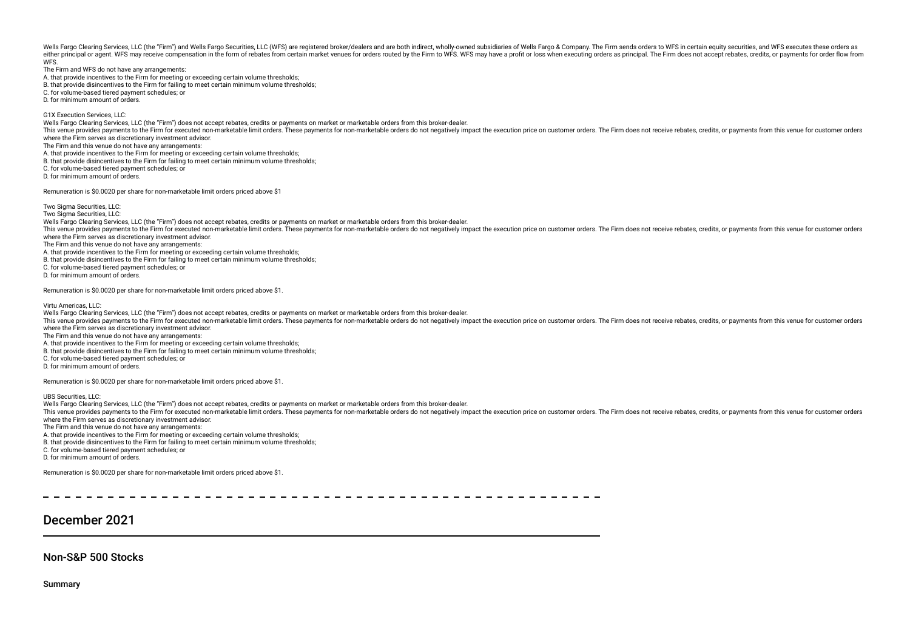Wells Fargo Clearing Services, LLC (the "Firm") and Wells Fargo Securities, LLC (WFS) are registered broker/dealers and are both indirect, wholly-owned subsidiaries of Wells Fargo & Company. The Firm sends orders to WFS in either principal or agent. WFS may receive compensation in the form of rebates from certain market venues for orders routed by the Firm to WFS. WFS may have a profit or loss when executing orders as principal. The Firm doe **WFS** 

The Firm and WFS do not have any arrangements:

A. that provide incentives to the Firm for meeting or exceeding certain volume thresholds;

B. that provide disincentives to the Firm for failing to meet certain minimum volume thresholds;

C. for volume-based tiered payment schedules; or

D. for minimum amount of orders.

G1X Execution Services, LLC:

Wells Fargo Clearing Services, LLC (the "Firm") does not accept rebates, credits or payments on market or marketable orders from this broker-dealer.

This venue provides payments to the Firm for executed non-marketable limit orders. These payments for non-marketable orders do not negatively impact the execution price on customer orders. The Firm does not receive rebates where the Firm serves as discretionary investment advisor.

The Firm and this venue do not have any arrangements:

A. that provide incentives to the Firm for meeting or exceeding certain volume thresholds;

B. that provide disincentives to the Firm for failing to meet certain minimum volume thresholds;

C. for volume-based tiered payment schedules; or

D. for minimum amount of orders.

Remuneration is \$0.0020 per share for non-marketable limit orders priced above \$1

Two Sigma Securities, LLC:

Two Sigma Securities, LLC:

Wells Fargo Clearing Services, LLC (the "Firm") does not accept rebates, credits or payments on market or marketable orders from this broker-dealer. This venue provides payments to the Firm for executed non-marketable limit orders. These payments for non-marketable orders do not negatively impact the execution price on customer orders. The Firm does not receive rebates where the Firm serves as discretionary investment advisor.

The Firm and this venue do not have any arrangements:

A. that provide incentives to the Firm for meeting or exceeding certain volume thresholds;

B. that provide disincentives to the Firm for failing to meet certain minimum volume thresholds;

C. for volume-based tiered payment schedules; or

D. for minimum amount of orders.

Remuneration is \$0.0020 per share for non-marketable limit orders priced above \$1.

Virtu Americas, LLC:

Wells Fargo Clearing Services, LLC (the "Firm") does not accept rebates, credits or payments on market or marketable orders from this broker-dealer.

This venue provides payments to the Firm for executed non-marketable limit orders. These payments for non-marketable orders do not peratively impact the execution price on customer orders. The Firm does not receive rebates where the Firm serves as discretionary investment advisor.

The Firm and this venue do not have any arrangements:

A. that provide incentives to the Firm for meeting or exceeding certain volume thresholds;

B. that provide disincentives to the Firm for failing to meet certain minimum volume thresholds;

C. for volume-based tiered payment schedules; or

D. for minimum amount of orders.

Remuneration is \$0.0020 per share for non-marketable limit orders priced above \$1.

UBS Securities, LLC:

Wells Fargo Clearing Services, LLC (the "Firm") does not accept rebates, credits or payments on market or marketable orders from this broker-dealer.

This venue provides payments to the Firm for executed non-marketable limit orders. These payments for non-marketable orders do not negatively impact the execution price on customer orders. The Firm does not receive rebates where the Firm serves as discretionary investment advisor.

The Firm and this venue do not have any arrangements:

A. that provide incentives to the Firm for meeting or exceeding certain volume thresholds;

B. that provide disincentives to the Firm for failing to meet certain minimum volume thresholds;

C. for volume-based tiered payment schedules; or

D. for minimum amount of orders.

Remuneration is \$0.0020 per share for non-marketable limit orders priced above \$1.

\_ \_ \_ \_ \_ \_ \_ \_ \_ \_ \_ \_ \_ \_ \_ \_ \_

# December 2021

Non-S&P 500 Stocks

Summary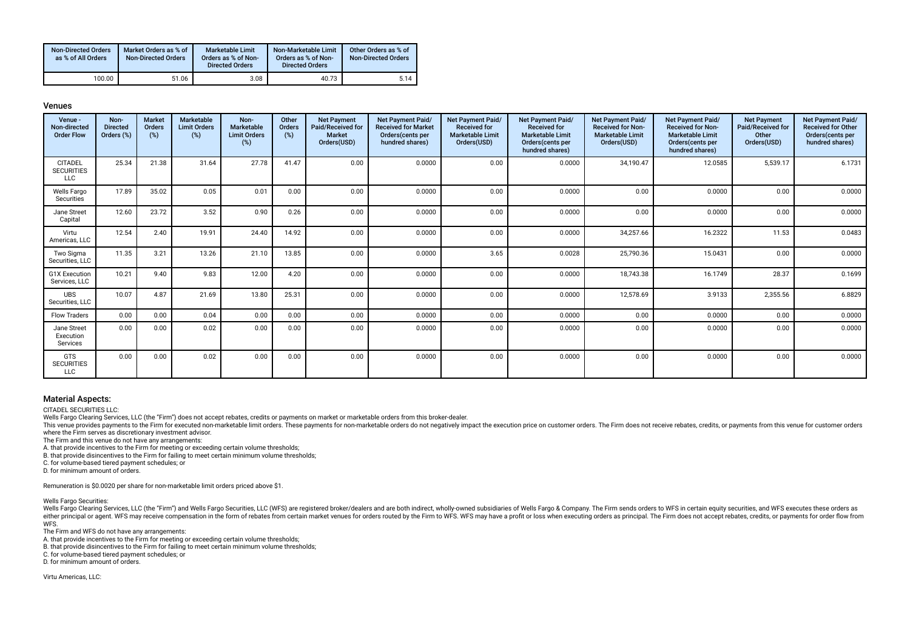| <b>Non-Directed Orders</b><br>as % of All Orders | Market Orders as % of<br><b>Non-Directed Orders</b> | <b>Marketable Limit</b><br>Orders as % of Non-<br><b>Directed Orders</b> | Non-Marketable Limit<br>Orders as % of Non-<br><b>Directed Orders</b> | Other Orders as % of<br><b>Non-Directed Orders</b> |
|--------------------------------------------------|-----------------------------------------------------|--------------------------------------------------------------------------|-----------------------------------------------------------------------|----------------------------------------------------|
| 100.00                                           | 51.06                                               | 3.08                                                                     | 40.73                                                                 | 5.14                                               |

#### Venues

| Venue -<br>Non-directed<br><b>Order Flow</b>      | Non-<br><b>Directed</b><br>Orders (%) | <b>Market</b><br><b>Orders</b><br>(%) | <b>Marketable</b><br><b>Limit Orders</b><br>(%) | Non-<br><b>Marketable</b><br><b>Limit Orders</b><br>(%) | Other<br><b>Orders</b><br>(%) | <b>Net Payment</b><br>Paid/Received for<br><b>Market</b><br>Orders(USD) | <b>Net Payment Paid/</b><br><b>Received for Market</b><br>Orders(cents per<br>hundred shares) | <b>Net Payment Paid/</b><br><b>Received for</b><br><b>Marketable Limit</b><br>Orders(USD) | <b>Net Payment Paid/</b><br><b>Received for</b><br><b>Marketable Limit</b><br>Orders(cents per<br>hundred shares) | <b>Net Payment Paid/</b><br><b>Received for Non-</b><br><b>Marketable Limit</b><br>Orders(USD) | <b>Net Payment Paid/</b><br><b>Received for Non-</b><br><b>Marketable Limit</b><br>Orders(cents per<br>hundred shares) | <b>Net Payment</b><br>Paid/Received for<br>Other<br>Orders(USD) | Net Payment Paid/<br><b>Received for Other</b><br>Orders(cents per<br>hundred shares) |
|---------------------------------------------------|---------------------------------------|---------------------------------------|-------------------------------------------------|---------------------------------------------------------|-------------------------------|-------------------------------------------------------------------------|-----------------------------------------------------------------------------------------------|-------------------------------------------------------------------------------------------|-------------------------------------------------------------------------------------------------------------------|------------------------------------------------------------------------------------------------|------------------------------------------------------------------------------------------------------------------------|-----------------------------------------------------------------|---------------------------------------------------------------------------------------|
| <b>CITADEL</b><br><b>SECURITIES</b><br><b>LLC</b> | 25.34                                 | 21.38                                 | 31.64                                           | 27.78                                                   | 41.47                         | 0.00                                                                    | 0.0000                                                                                        | 0.00                                                                                      | 0.0000                                                                                                            | 34,190.47                                                                                      | 12.0585                                                                                                                | 5,539.17                                                        | 6.1731                                                                                |
| <b>Wells Fargo</b><br>Securities                  | 17.89                                 | 35.02                                 | 0.05                                            | 0.01                                                    | 0.00                          | 0.00                                                                    | 0.0000                                                                                        | 0.00                                                                                      | 0.0000                                                                                                            | 0.00                                                                                           | 0.0000                                                                                                                 | 0.00                                                            | 0.0000                                                                                |
| Jane Street<br>Capital                            | 12.60                                 | 23.72                                 | 3.52                                            | 0.90                                                    | 0.26                          | 0.00                                                                    | 0.0000                                                                                        | 0.00                                                                                      | 0.0000                                                                                                            | 0.00                                                                                           | 0.0000                                                                                                                 | 0.00                                                            | 0.0000                                                                                |
| Virtu<br>Americas, LLC                            | 12.54                                 | 2.40                                  | 19.91                                           | 24.40                                                   | 14.92                         | 0.00                                                                    | 0.0000                                                                                        | 0.00                                                                                      | 0.0000                                                                                                            | 34.257.66                                                                                      | 16.2322                                                                                                                | 11.53                                                           | 0.0483                                                                                |
| Two Sigma<br>Securities, LLC                      | 11.35                                 | 3.21                                  | 13.26                                           | 21.10                                                   | 13.85                         | 0.00                                                                    | 0.0000                                                                                        | 3.65                                                                                      | 0.0028                                                                                                            | 25,790.36                                                                                      | 15.0431                                                                                                                | 0.00                                                            | 0.0000                                                                                |
| <b>G1X Execution</b><br>Services, LLC             | 10.21                                 | 9.40                                  | 9.83                                            | 12.00                                                   | 4.20                          | 0.00                                                                    | 0.0000                                                                                        | 0.00                                                                                      | 0.0000                                                                                                            | 18,743.38                                                                                      | 16.1749                                                                                                                | 28.37                                                           | 0.1699                                                                                |
| <b>UBS</b><br>Securities, LLC                     | 10.07                                 | 4.87                                  | 21.69                                           | 13.80                                                   | 25.31                         | 0.00                                                                    | 0.0000                                                                                        | 0.00                                                                                      | 0.0000                                                                                                            | 12,578.69                                                                                      | 3.9133                                                                                                                 | 2,355.56                                                        | 6.8829                                                                                |
| <b>Flow Traders</b>                               | 0.00                                  | 0.00                                  | 0.04                                            | 0.00                                                    | 0.00                          | 0.00                                                                    | 0.0000                                                                                        | 0.00                                                                                      | 0.0000                                                                                                            | 0.00                                                                                           | 0.0000                                                                                                                 | 0.00                                                            | 0.0000                                                                                |
| Jane Street<br>Execution<br>Services              | 0.00                                  | 0.00                                  | 0.02                                            | 0.00                                                    | 0.00                          | 0.00                                                                    | 0.0000                                                                                        | 0.00                                                                                      | 0.0000                                                                                                            | 0.00                                                                                           | 0.0000                                                                                                                 | 0.00                                                            | 0.0000                                                                                |
| <b>GTS</b><br><b>SECURITIES</b><br><b>LLC</b>     | 0.00                                  | 0.00                                  | 0.02                                            | 0.00                                                    | 0.00                          | 0.00                                                                    | 0.0000                                                                                        | 0.00                                                                                      | 0.0000                                                                                                            | 0.00                                                                                           | 0.0000                                                                                                                 | 0.00                                                            | 0.0000                                                                                |

# Material Aspects:

CITADEL SECURITIES LLC:

Wells Fargo Clearing Services, LLC (the "Firm") does not accept rebates, credits or payments on market or marketable orders from this broker-dealer.

This venue provides payments to the Firm for executed non-marketable limit orders. These payments for non-marketable orders do not negatively impact the execution price on customer orders. The Firm does not receive rebates where the Firm serves as discretionary investment advisor.

The Firm and this venue do not have any arrangements:

A. that provide incentives to the Firm for meeting or exceeding certain volume thresholds;

B. that provide disincentives to the Firm for failing to meet certain minimum volume thresholds;

C. for volume-based tiered payment schedules; or

D. for minimum amount of orders.

Remuneration is \$0.0020 per share for non-marketable limit orders priced above \$1.

Wells Fargo Securities:

Wells Fargo Clearing Services, LLC (the "Firm") and Wells Fargo Securities, LLC (WFS) are registered broker/dealers and are both indirect, wholly-owned subsidiaries of Wells Fargo & Company. The Firm sends orders to WFS in either principal or agent. WFS may receive compensation in the form of rebates from certain market venues for orders routed by the Firm to WFS. WFS may have a profit or loss when executing orders as principal. The Firm doe WFS.

The Firm and WFS do not have any arrangements:

A. that provide incentives to the Firm for meeting or exceeding certain volume thresholds;

B. that provide disincentives to the Firm for failing to execteding of the Firm for failing to meet certain minimum volume thresholds;

C. for volume-based tiered payment schedules; or

D. for minimum amount of orders.

Virtu Americas, LLC: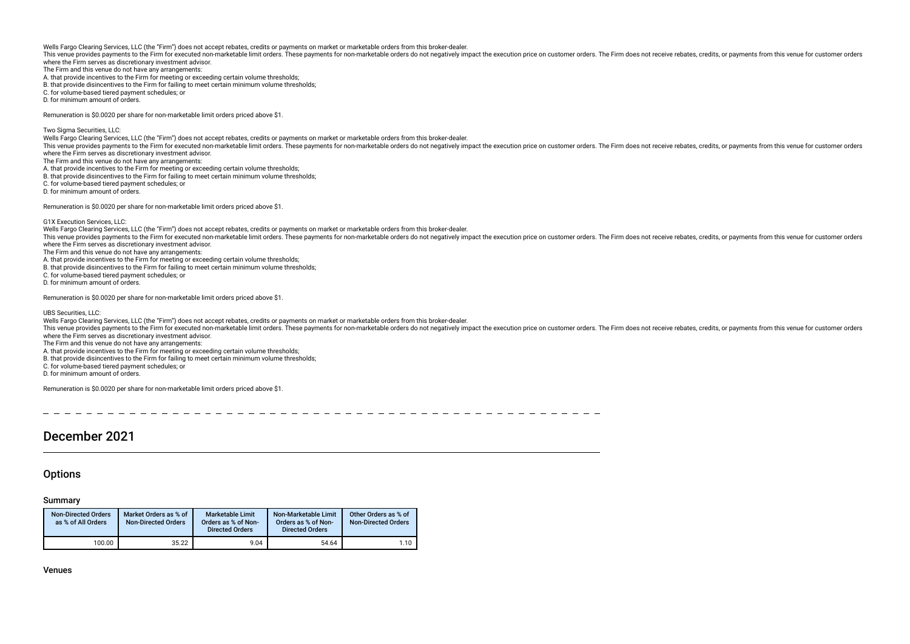This venue provides payments to the Firm for executed non-marketable limit orders. These payments for non-marketable orders do not negatively impact the execution price on customer orders. The Firm does not receive rebates where the Firm serves as discretionary investment advisor.

The Firm and this venue do not have any arrangements:

A. that provide incentives to the Firm for meeting or exceeding certain volume thresholds;

B. that provide disincentives to the Firm for failing to meet certain minimum volume thresholds;

C. for volume-based tiered payment schedules; or

D. for minimum amount of orders.

Remuneration is \$0.0020 per share for non-marketable limit orders priced above \$1.

Two Sigma Securities, LLC:

Wells Fargo Clearing Services, LLC (the "Firm") does not accept rebates, credits or payments on market or marketable orders from this broker-dealer.

This venue provides payments to the Firm for executed non-marketable limit orders. These payments for non-marketable orders do not negatively impact the execution price on customer orders. The Firm does not receive rebates where the Firm serves as discretionary investment advisor.

The Firm and this venue do not have any arrangements:

A. that provide incentives to the Firm for meeting or exceeding certain volume thresholds;

B. that provide disincentives to the Firm for failing to meet certain minimum volume thresholds;

C. for volume-based tiered payment schedules; or

D. for minimum amount of orders.

Remuneration is \$0.0020 per share for non-marketable limit orders priced above \$1.

G1X Execution Services, LLC:

Wells Fargo Clearing Services, LLC (the "Firm") does not accept rebates, credits or payments on market or marketable orders from this broker-dealer.

This venue provides payments to the Firm for executed non-marketable limit orders. These payments for non-marketable orders do not negatively impact the execution price on customer orders. The Firm does not receive rebates where the Firm serves as discretionary investment advisor.

The Firm and this venue do not have any arrangements:

- A. that provide incentives to the Firm for meeting or exceeding certain volume thresholds;
- B. that provide disincentives to the Firm for failing to meet certain minimum volume thresholds;
- C. for volume-based tiered payment schedules; or

D. for minimum amount of orders.

Remuneration is \$0.0020 per share for non-marketable limit orders priced above \$1.

UBS Securities, LLC:

Wells Fargo Clearing Services, LLC (the "Firm") does not accept rebates, credits or payments on market or marketable orders from this broker-dealer.

This yenue provides payments to the Firm for executed non-marketable limit orders. These payments for non-marketable orders do not negatively impact the execution price on customer orders. The Firm does not receive rebates where the Firm serves as discretionary investment advisor.

The Firm and this venue do not have any arrangements:

A. that provide incentives to the Firm for meeting or exceeding certain volume thresholds;

B. that provide disincentives to the Firm for failing to meet certain minimum volume thresholds;

C. for volume-based tiered payment schedules; or

D. for minimum amount of orders.

Remuneration is \$0.0020 per share for non-marketable limit orders priced above \$1.

# December 2021

# **Options**

### Summary

| <b>Non-Directed Orders</b><br>as % of All Orders | Market Orders as % of<br><b>Non-Directed Orders</b> | Marketable Limit<br>Orders as % of Non-<br><b>Directed Orders</b> | Non-Marketable Limit<br>Orders as % of Non-<br><b>Directed Orders</b> | Other Orders as % of<br><b>Non-Directed Orders</b> |
|--------------------------------------------------|-----------------------------------------------------|-------------------------------------------------------------------|-----------------------------------------------------------------------|----------------------------------------------------|
| 100.00                                           | 35.22                                               | 9.04                                                              | 54.64                                                                 | 1.10                                               |